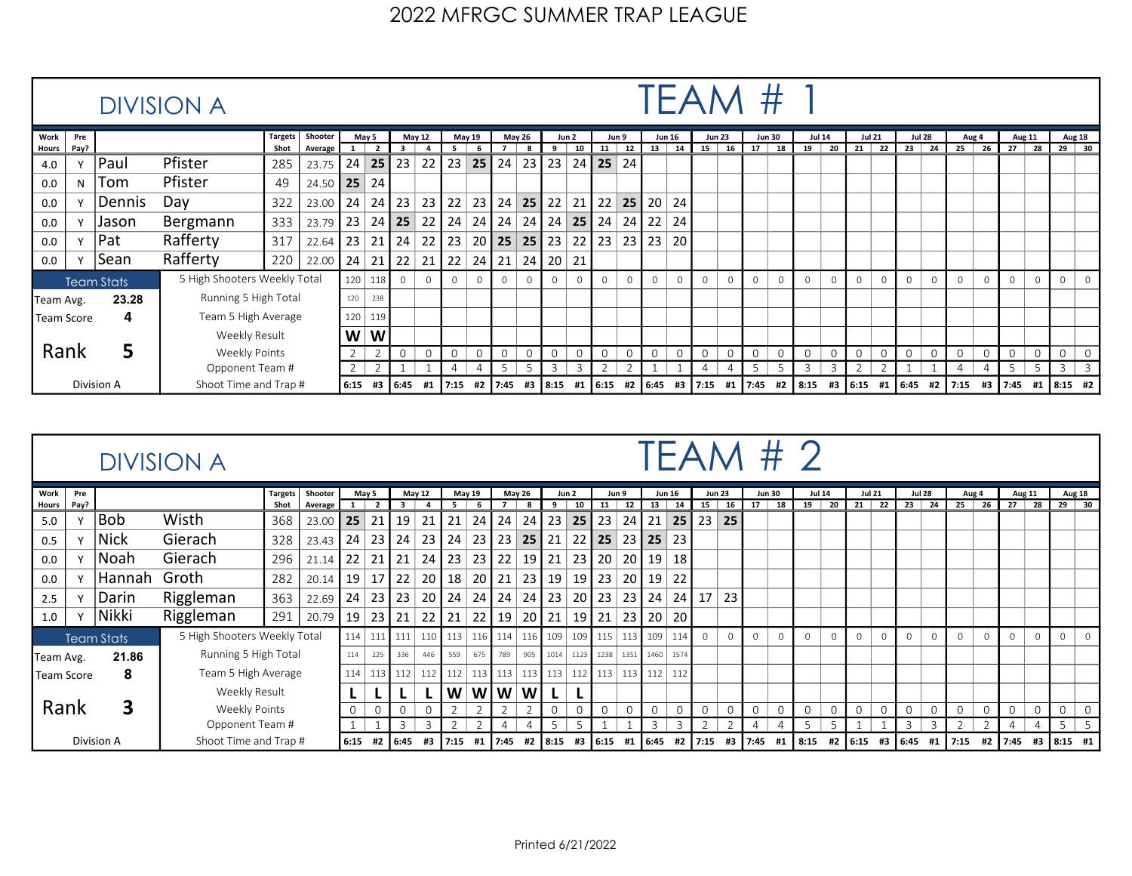|            |                                             |            | <b>DIVISION A</b>     |                |                    |              |                |                         |               |                                                    |          |          |               |                |          |              |       |                |               |          |               | TFAM #     |                |             |               |          |               |                                                                                                              |               |             |                |            |               |              |                |
|------------|---------------------------------------------|------------|-----------------------|----------------|--------------------|--------------|----------------|-------------------------|---------------|----------------------------------------------------|----------|----------|---------------|----------------|----------|--------------|-------|----------------|---------------|----------|---------------|------------|----------------|-------------|---------------|----------|---------------|--------------------------------------------------------------------------------------------------------------|---------------|-------------|----------------|------------|---------------|--------------|----------------|
| Work       | Pre                                         |            |                       | <b>Targets</b> | Shooter            |              | May 5          |                         | <b>May 12</b> |                                                    | May 19   |          | <b>May 26</b> |                | Jun 2    |              | Jun 9 |                | <b>Jun 16</b> |          | <b>Jun 23</b> |            | <b>Jun 30</b>  |             | <b>Jul 14</b> |          | <b>Jul 21</b> |                                                                                                              | <b>Jul 28</b> |             | Aug 4          |            | <b>Aug 11</b> |              | <b>Aug 18</b>  |
| Hours Pay? |                                             |            |                       | Shot           | Average            | 1            | $\overline{2}$ | $\overline{\mathbf{3}}$ | 4             | 5                                                  | 6        |          | 8             | 9              | 10       |              |       | $11$   12   13 | 14            | 15       | 16            | 17         | 18             | 19          | 20            |          | $21 \mid 22$  | 23                                                                                                           | 24            |             |                | 25 26 27   | 28            | $29 \mid 30$ |                |
| 4.0        | Y                                           | Paul       | Pfister               | 285            | 23.75              | 24           | 25             | 23                      | 22            | 23                                                 | 25       | 24       | 23            | 23             | 24       | $25 \mid 24$ |       |                |               |          |               |            |                |             |               |          |               |                                                                                                              |               |             |                |            |               |              |                |
| 0.0        | N                                           | Tom        | Pfister               | 49             | 24.50 <b>25</b> 24 |              |                |                         |               |                                                    |          |          |               |                |          |              |       |                |               |          |               |            |                |             |               |          |               |                                                                                                              |               |             |                |            |               |              |                |
| 0.0        |                                             | Dennis     | Day                   | 322            | 23.00              | 24           | 24 I           | 23                      | 23            | 22                                                 | 23       | 24       | 25            | 22             | 21       | 22           | 25    | 20             | 24            |          |               |            |                |             |               |          |               |                                                                                                              |               |             |                |            |               |              |                |
| 0.0        | Bergmann<br>Jason<br>Rafferty<br>Pat<br>0.0 |            |                       |                | 23.79              | 23           |                | $24$   25               | 22            | 24                                                 | 24       | 24       | 24            | 24             | 25       | $24 \mid 24$ |       | 22             | 24            |          |               |            |                |             |               |          |               |                                                                                                              |               |             |                |            |               |              |                |
|            | Rafferty<br> Sean<br><b>Team Stats</b>      |            |                       |                | 22.64              | 23           | 21             | 24                      | 22            | $^{\prime}$ 23                                     | 20 l     | 25       | 25            | $^{\prime}$ 23 | 22       | 23 23        |       | 23             | 20            |          |               |            |                |             |               |          |               |                                                                                                              |               |             |                |            |               |              |                |
| 0.0        |                                             |            |                       | 220            | 22.00              | 24           | 21 l           | 22                      | 21            | 22                                                 | 24       |          | 21 24         | 20             | -21      |              |       |                |               |          |               |            |                |             |               |          |               |                                                                                                              |               |             |                |            |               |              |                |
|            | 5 High Shooters Weekly Total                |            |                       |                |                    | 120          | 118            | $\Omega$                |               | $\Omega$                                           | $\Omega$ | $\Omega$ |               | $\Omega$       | $\Omega$ | $\Omega$     |       | $\Omega$       | $\Omega$      | $\Omega$ |               | $\Omega$   |                | $\Omega$    | $\Omega$      | $\Omega$ | $\Omega$      | $\Omega$                                                                                                     | $\Omega$      | $\Omega$    |                | $\Omega$   | $\Omega$      | $\circ$      | $\Omega$       |
|            | Running 5 High Total<br>23.28<br>Team Avg.  |            |                       |                |                    | 120          | 238            |                         |               |                                                    |          |          |               |                |          |              |       |                |               |          |               |            |                |             |               |          |               |                                                                                                              |               |             |                |            |               |              |                |
| Team Score |                                             | 4          | Team 5 High Average   |                |                    |              | 120 119        |                         |               |                                                    |          |          |               |                |          |              |       |                |               |          |               |            |                |             |               |          |               |                                                                                                              |               |             |                |            |               |              |                |
|            |                                             |            | Weekly Result         |                |                    | $\mathsf{W}$ | W              |                         |               |                                                    |          |          |               |                |          |              |       |                |               |          |               |            |                |             |               |          |               |                                                                                                              |               |             |                |            |               |              |                |
| Rank       |                                             | 5          | Weekly Points         |                |                    |              |                | 0                       | $\mathbf 0$   | 0                                                  | 0        | 0        | 0             | 0              |          | 0            | 0     | 0              | 0             | 0        | 0             | 0          | $\overline{0}$ | $\mathbf 0$ | $\mathbf 0$   | 0        | 0             | $\mathbf 0$                                                                                                  | 0             | $\mathbf 0$ | $\overline{0}$ | 0          | 0             | 0            | $\overline{0}$ |
|            |                                             |            | Opponent Team #       |                |                    |              |                |                         |               |                                                    |          |          | 5             | 3              |          |              |       |                |               |          |               | 5          |                | 3           |               |          |               |                                                                                                              |               |             |                | 5          |               | 3            |                |
|            |                                             | Division A | Shoot Time and Trap # |                |                    | 6:15         |                | #3 6:45                 |               | #1 7:15 #2 7:45 #3 8:15 #1 6:15 #2 6:45 #3 7:15 #1 |          |          |               |                |          |              |       |                |               |          |               | $17:45$ #2 |                |             |               |          |               | $\begin{array}{ c c c c c c c c c } \hline 8:15 & \#3 & 6:15 & \#1 & 6:45 & \#2 & 7:15 \ \hline \end{array}$ |               |             |                | #3 7:45 #1 |               | $8:15$ #2    |                |

# DIVISION A

|                                                                                                                                                                                                                                              |     |             |                              |                |                        |                     |                             |          |                 |     |                 |           |                     |                |                 |           |                   |                           |                 |          |               |                                                               |                | TEAM # 2      |         |                |          |                                |         |          |             |               |          |               |                |
|----------------------------------------------------------------------------------------------------------------------------------------------------------------------------------------------------------------------------------------------|-----|-------------|------------------------------|----------------|------------------------|---------------------|-----------------------------|----------|-----------------|-----|-----------------|-----------|---------------------|----------------|-----------------|-----------|-------------------|---------------------------|-----------------|----------|---------------|---------------------------------------------------------------|----------------|---------------|---------|----------------|----------|--------------------------------|---------|----------|-------------|---------------|----------|---------------|----------------|
| Work                                                                                                                                                                                                                                         | Pre |             |                              | <b>Targets</b> | Shooter                |                     | Mav 5                       |          | <b>May 12</b>   |     | May 19          |           | <b>May 26</b>       | Jun 2          |                 |           | Jun 9             |                           | <b>Jun 16</b>   |          | <b>Jun 23</b> |                                                               | Jun 30         | <b>Jul 14</b> |         | <b>Jul 21</b>  |          | <b>Jul 28</b>                  |         | Aug 4    |             | <b>Aug 11</b> |          | <b>Aug 18</b> |                |
|                                                                                                                                                                                                                                              |     |             |                              | Shot           | Average                | 1                   |                             | 3        |                 | 5   |                 |           |                     | 9              | 10              | 11        | 12                | 13                        | 14              | 15       | 16 I          | 17                                                            | 18             | 19            | 20      | 21             | 22       | 23                             | 24      | 25       | 26          | 27            | 28       | $29 \mid 30$  |                |
|                                                                                                                                                                                                                                              |     |             |                              | 368            | $23.00$   25   21   19 |                     |                             |          | 21              | 21  | 24              | 24        | 24                  | 23             | 25              | 23        | 24                | 21                        | 25 <sub>1</sub> | 23       | 25'           |                                                               |                |               |         |                |          |                                |         |          |             |               |          |               |                |
| 0.5                                                                                                                                                                                                                                          |     | <b>Nick</b> | Gierach                      | 328            | 23.43                  | 24                  | $\vert$ 23 $\vert$ 24       |          | 23              | 24  | 23              | 23        | 25                  | 21             |                 | $22$   25 |                   | $23$   25                 | 23              |          |               |                                                               |                |               |         |                |          |                                |         |          |             |               |          |               |                |
| <b>DIVISION A</b><br><b>Hours</b><br>Pay?<br>Wisth<br><b>Bob</b><br>5.0<br>Noah<br>0.0<br> Hannah<br>0.0<br>Darin<br>2.5<br> Nikki<br>1.0<br>$\vee$<br><b>Team Stats</b><br>21.86<br>Team Avg.<br>8<br>Team Score<br>3<br>Rank<br>Division A |     | Gierach     | 296                          | 21.14          | $\overline{22}$        | $\vert 21 \vert 21$ |                             | 24       | 23              | 23  | 22              | 19        | 21                  | 23             | 20 <sup>1</sup> | 20 l      | 19                | 18                        |                 |          |               |                                                               |                |               |         |                |          |                                |         |          |             |               |          |               |                |
|                                                                                                                                                                                                                                              |     |             | Groth                        | 282            | $20.14$   19   17   22 |                     |                             |          | 20 <sub>1</sub> | 18  | 20 <sub>1</sub> | 21        | 23                  | 19             | 19              | 23        | 20 <sub>1</sub>   | 19                        | 22              |          |               |                                                               |                |               |         |                |          |                                |         |          |             |               |          |               |                |
|                                                                                                                                                                                                                                              |     |             | Riggleman                    | 363            | $22.69$   24   23   23 |                     |                             |          | 20 <sub>1</sub> | 24  |                 | $24$   24 | $24$   23           |                | 20 l            | 23        | 23 I              | 24                        | 24              | 17       | 23            |                                                               |                |               |         |                |          |                                |         |          |             |               |          |               |                |
|                                                                                                                                                                                                                                              |     |             | Riggleman                    | 291            | 20.79   19   23   21   |                     |                             |          | 22              | 21  |                 |           | $22$   19   20   21 |                | 19 I            |           | $21 \mid 23 \mid$ | 20                        | 20              |          |               |                                                               |                |               |         |                |          |                                |         |          |             |               |          |               |                |
|                                                                                                                                                                                                                                              |     |             | 5 High Shooters Weekly Total |                |                        |                     | 114   111   111   110   113 |          |                 |     |                 |           | 116 114 116 109     |                |                 | $109$ 115 |                   | 113 109                   | 114             | $\Omega$ | $\Omega$      | $\Omega$                                                      | $\Omega$       | $\circ$       | $\circ$ | $\overline{0}$ | $\Omega$ | $\circ$                        | $\circ$ | $\Omega$ | $\Omega$    | $\circ$       | $\Omega$ | $\circ$       | $\overline{0}$ |
|                                                                                                                                                                                                                                              |     |             | Running 5 High Total         |                |                        | 114                 | 225                         | 336      | 446             | 559 | 675             | 789       | 905                 | 1014           |                 |           |                   | 1123   1238   1351   1460 | 1574            |          |               |                                                               |                |               |         |                |          |                                |         |          |             |               |          |               |                |
|                                                                                                                                                                                                                                              |     |             | Team 5 High Average          |                |                        | 114                 | 113 112                     |          | 112 112         |     |                 | $113$ 113 |                     | $113$ 113      |                 |           |                   | 112 113 113 112           | 112             |          |               |                                                               |                |               |         |                |          |                                |         |          |             |               |          |               |                |
|                                                                                                                                                                                                                                              |     |             | Weekly Result                |                |                        |                     |                             |          |                 | W   |                 | W W       | W                   | L              |                 |           |                   |                           |                 |          |               |                                                               |                |               |         |                |          |                                |         |          |             |               |          |               |                |
|                                                                                                                                                                                                                                              |     |             | Weekly Points                |                |                        | $\circ$             | $\Omega$                    | $\Omega$ |                 |     |                 |           |                     | $\overline{0}$ | 0               | 0         | 0                 | $\mathbf 0$               | 0               | 0        |               |                                                               | $\overline{0}$ | 0             |         |                |          |                                |         | $\Omega$ | $\mathbf 0$ | $\mathbf 0$   | $\Omega$ | 0             | $\overline{0}$ |
|                                                                                                                                                                                                                                              |     |             | Opponent Team #              |                |                        |                     |                             | 3        |                 |     |                 | 4         | $\overline{4}$      | -5             | .5              |           |                   | 3                         | 3               |          |               |                                                               |                |               |         |                |          | 3                              | 3       |          | 2           |               |          | 5             |                |
|                                                                                                                                                                                                                                              |     |             | Shoot Time and Trap #        |                |                        |                     | $6:15$ #2 6:45 #3           |          |                 |     |                 |           |                     |                |                 |           |                   |                           |                 |          |               | 7:15 #1  7:45 #2  8:15 #3  6:15 #1  6:45 #2  7:15 #3  7:45 #1 |                |               |         |                |          | $8:15$ #2 6:15 #3 6:45 #1 7:15 |         |          |             | #2 7:45 #3    |          | $8:15$ #1     |                |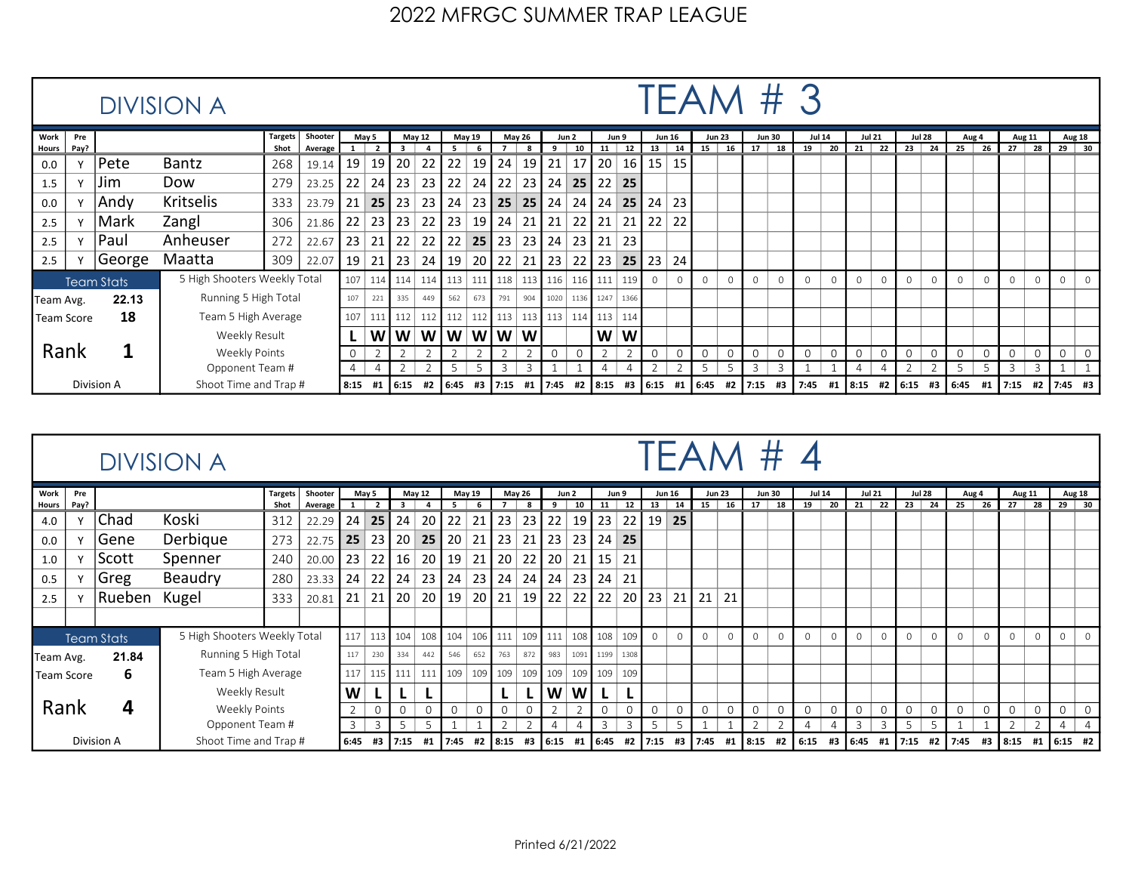|                                                   |                  |            | <b>DIVISION A</b>            |                |         |             |       |           |        |                   |               |              |     |                             |       |      |                 |                |               |          |               | TEAM # 3      |             |              |                 |               |          |                |               |          |                 |                                                                                                            |               |              |               |
|---------------------------------------------------|------------------|------------|------------------------------|----------------|---------|-------------|-------|-----------|--------|-------------------|---------------|--------------|-----|-----------------------------|-------|------|-----------------|----------------|---------------|----------|---------------|---------------|-------------|--------------|-----------------|---------------|----------|----------------|---------------|----------|-----------------|------------------------------------------------------------------------------------------------------------|---------------|--------------|---------------|
| <b>Work</b>                                       | Pre              |            |                              | <b>Targets</b> | Shooter |             | May 5 |           | May 12 |                   | <b>May 19</b> | May 26       |     | Jun 2                       |       |      | Jun 9           |                | <b>Jun 16</b> |          | <b>Jun 23</b> | <b>Jun 30</b> |             |              | <b>Jul 14</b>   | <b>Jul 21</b> |          |                | <b>Jul 28</b> |          | Aug 4           |                                                                                                            | <b>Aug 11</b> |              | <b>Aug 18</b> |
| Hours Pay?                                        |                  |            |                              | Shot           | Average |             |       |           |        |                   |               |              |     | 9                           | 10    | 11   | 12 <sup>1</sup> | 13             | 14            | 15       | 16            | 17            | 18          | 19           | 20 <sub>1</sub> | 21            | 22       | 23             | 24            | 25       | $\overline{26}$ | $\vert$ 27                                                                                                 | 28            | $29 \mid 30$ |               |
| 0.0                                               |                  | Pete       | Bantz                        | 268            | 19.14   | 19          | 19    | 20        | 22     | 22                | 19            | 24           | 19  | 21                          | 17    | 20   |                 | $16$   15      | 15            |          |               |               |             |              |                 |               |          |                |               |          |                 |                                                                                                            |               |              |               |
| 1.5                                               |                  | Jim        | Dow                          | 279            | 23.25   | 22          | 24    | 23        | 23     | 22                | 24            | 22           | 23  | 24                          | 25    | 22   | 25              |                |               |          |               |               |             |              |                 |               |          |                |               |          |                 |                                                                                                            |               |              |               |
| 0.0                                               | v                | Andy       | Kritselis                    | 333            | 23.79   | 21          | 25    | 23        | 23     | 24                | -23 I         | 25 25        |     | 24                          | 24    | 24   | 25              | 24             | 23            |          |               |               |             |              |                 |               |          |                |               |          |                 |                                                                                                            |               |              |               |
| 2.5                                               | Y                | Mark       | Zangl                        | 306            | 21.86   | 22          | 231   | 23        | 22     | 23                | - 19 I        | $24$ 21      |     | 21                          | 22    | 21   | 21              | 22             | 22            |          |               |               |             |              |                 |               |          |                |               |          |                 |                                                                                                            |               |              |               |
| 2.5                                               |                  | Paul       | Anheuser                     | 272            | 22.67   | 23          | 21    | 22        | 22     | 22                | 25            | 23           | 23  | 24                          | 23    | 21   | 23              |                |               |          |               |               |             |              |                 |               |          |                |               |          |                 |                                                                                                            |               |              |               |
| 2.5                                               | v                |            | Maatta                       | 309            | 22.07   |             | 19 21 | 23        | 24 I   | 19                |               | 20   22   21 |     | 23                          | -22 I |      |                 | 23 25 23       | 24            |          |               |               |             |              |                 |               |          |                |               |          |                 |                                                                                                            |               |              |               |
| George<br><b>Team Stats</b><br>22.13<br>Team Avg. |                  |            | 5 High Shooters Weekly Total |                |         | 107         |       | $114$ 114 |        | $114$ 113 111 118 |               |              |     | 113   116   116   111       |       |      | 119             | $\Omega$       | $\Omega$      | $\Omega$ | $\Omega$      | $\Omega$      | $\Omega$    | $\Omega$     | $\Omega$        | $\Omega$      | $\Omega$ | $\Omega$       | $\Omega$      | $\Omega$ | $\Omega$        | $\Omega$                                                                                                   | $\Omega$      | $\Omega$     | $\Omega$      |
|                                                   | 18<br>Team Score |            | Running 5 High Total         |                |         | 107         | 221   | 335       | 449    | 562               | 673           | 791          | 904 | 1020                        | 1136  | 1247 | 1366            |                |               |          |               |               |             |              |                 |               |          |                |               |          |                 |                                                                                                            |               |              |               |
|                                                   |                  |            | Team 5 High Average          |                |         | 107         |       | $111$ 112 |        | 112 112 112 113   |               |              |     | 113   113   114   113   114 |       |      |                 |                |               |          |               |               |             |              |                 |               |          |                |               |          |                 |                                                                                                            |               |              |               |
|                                                   |                  |            | Weekly Result                |                |         |             | W     | W         |        | W W               |               | w  w  w      |     |                             |       | w w  |                 |                |               |          |               |               |             |              |                 |               |          |                |               |          |                 |                                                                                                            |               |              |               |
| Rank                                              |                  | 1          | Weekly Points                |                |         | $\mathbf 0$ |       |           |        |                   |               |              |     |                             |       |      |                 | $\overline{0}$ | 0             | 0        | $\mathbf 0$   | $\mathbf 0$   | $\mathbf 0$ | $\mathbf{0}$ | 0               | $\mathbf 0$   | 0        | $\mathbf 0$    | 0             |          | $\overline{0}$  | $\mathbf{0}$                                                                                               | $\mathbf{0}$  | $\mathbf 0$  |               |
|                                                   |                  |            | Opponent Team #              |                |         |             |       |           |        |                   |               |              | 3   |                             |       |      |                 |                |               | 5        | 5             | 3             |             |              |                 |               |          | $\overline{2}$ |               |          |                 | 3                                                                                                          |               |              |               |
|                                                   |                  | Division A | Shoot Time and Trap #        |                |         | 8:15        |       |           |        |                   |               |              |     |                             |       |      |                 |                |               |          |               |               |             |              |                 |               |          |                |               |          |                 | #1 6:15 #2 6:45 #3 7:15 #1 7:45 #2 8:15 #3 6:15 #1 6:45 #2 7:15 #3 7:45 #1 8:15 #2 6:15 #3 6:45 #1 7:15 #2 |               | 7:45 #3      |               |

# DIVISION A

|                                                                                                                            |     |            | <b>DIVISION A</b>            |                |         |                   |                 |         |         |              |               |               |                |       |      |                |                |                |               | TEAM # 4   |               |               |                |                   |                 |               |                |               |          |              |                |               |          |               |                |
|----------------------------------------------------------------------------------------------------------------------------|-----|------------|------------------------------|----------------|---------|-------------------|-----------------|---------|---------|--------------|---------------|---------------|----------------|-------|------|----------------|----------------|----------------|---------------|------------|---------------|---------------|----------------|-------------------|-----------------|---------------|----------------|---------------|----------|--------------|----------------|---------------|----------|---------------|----------------|
| Work                                                                                                                       | Pre |            |                              | <b>Targets</b> | Shooter |                   | May 5           |         | May 12  |              | <b>May 19</b> | <b>May 26</b> |                | Jun 2 |      | Jun 9          |                |                | <b>Jun 16</b> |            | <b>Jun 23</b> | <b>Jun 30</b> |                | <b>Jul 14</b>     |                 | <b>Jul 21</b> |                | <b>Jul 28</b> |          | Aug 4        |                | <b>Aug 11</b> |          | <b>Aug 18</b> |                |
|                                                                                                                            |     |            |                              | Shot           | Average |                   |                 | 3       |         | - 5          |               |               | -8             | -9    | 10   | 11             | 12             | 13             | 14            | 15         | 16 I          | 17            | 18             | 19                | 20 <sub>1</sub> | 21            | 22 I           | 23            | 24       | $25 \mid 26$ |                | 27            | 28       | $29 \mid 30$  |                |
| 4.0                                                                                                                        | v   |            | Koski                        | 312            | 22.29   | 24                | 25              | 24      | 20 I    | 22           | 21            | 23            | 23             | 22    | 19 I | 23             |                | $22$   19      | 25            |            |               |               |                |                   |                 |               |                |               |          |              |                |               |          |               |                |
| 0.0                                                                                                                        |     | Gene       | Derbique                     | 273            | 22.75   | l 25              | 23 <sub>1</sub> | 20      | 25      | 20           | 21            | 23            | 21             | 23    | 23   | 24             | 25             |                |               |            |               |               |                |                   |                 |               |                |               |          |              |                |               |          |               |                |
| Hours Pay?<br>Chad<br> Scott<br>1.0<br> Greg<br>0.5<br> Rueben<br>2.5<br>$\vee$<br><b>Team Stats</b><br>21.84<br>Team Avg. |     |            | Spenner                      | 240            | 20.00   | $\overline{1}$ 23 | $22$   16       |         | 20 I    | 19           | -21 I         | 20            | 22             | 20    | 21 I | $15 \mid$      | 21             |                |               |            |               |               |                |                   |                 |               |                |               |          |              |                |               |          |               |                |
|                                                                                                                            |     |            | Beaudry                      | 280            | 23.33   | 24                | 221             | 24      | 23      | 24           | 23            | 24            | 24             | 24    | 23   | 24             | 21             |                |               |            |               |               |                |                   |                 |               |                |               |          |              |                |               |          |               |                |
|                                                                                                                            |     | Kugel      | 333                          | 20.81          | 21      | $21 \mid 20$      |                 | 20 I    | 19      |              | $20$   21     | 19 l          | 22             | 22    | 22   | 20 I           | 23             | 21             | 21            | 21         |               |               |                |                   |                 |               |                |               |          |              |                |               |          |               |                |
|                                                                                                                            |     |            |                              |                |         |                   |                 |         |         |              |               |               |                |       |      |                |                |                |               |            |               |               |                |                   |                 |               |                |               |          |              |                |               |          |               |                |
|                                                                                                                            |     |            | 5 High Shooters Weekly Total |                |         | 117               | 113 104         |         |         | 108 104      |               | $106$ 111     | 109 111        |       |      | 108 108 109    |                | $\Omega$       | $\Omega$      | $\circ$    | $\circ$       | $\circ$       | $\overline{0}$ | $\circ$           | $\circ$         | $\circ$       | $\overline{0}$ | $\circ$       | $\Omega$ | $\Omega$     | $\Omega$       | $\circ$       | $\Omega$ | $\circ$       | $\overline{0}$ |
|                                                                                                                            |     |            | Running 5 High Total         |                |         | 117               | 230             | 334     | 442     | 546          | 652           | 763           | 872            | 983   |      | 1091 1199 1308 |                |                |               |            |               |               |                |                   |                 |               |                |               |          |              |                |               |          |               |                |
| <b>Team Score</b>                                                                                                          |     | 6          | Team 5 High Average          |                |         | 117               |                 | 115 111 | 111 109 |              | 109           | 109           | 109 109        |       | 109  | 109 109        |                |                |               |            |               |               |                |                   |                 |               |                |               |          |              |                |               |          |               |                |
|                                                                                                                            |     |            | Weekly Result                |                |         | W                 |                 |         |         |              |               |               |                | W     | W    | L.             |                |                |               |            |               |               |                |                   |                 |               |                |               |          |              |                |               |          |               |                |
| Rank                                                                                                                       |     | 4          | Weekly Points                |                |         |                   | $\Omega$        |         |         | $\mathbf{0}$ | $\mathbf 0$   |               | $\overline{0}$ |       |      |                | $\overline{0}$ | $\mathbf 0$    | $\mathbf 0$   | 0          | $\mathbf 0$   | $\mathbf{0}$  | $\overline{0}$ | $\mathbf{0}$      |                 |               | $\Omega$       | $\mathbf{0}$  |          |              | $\overline{0}$ | $\mathbf{O}$  | $\Omega$ | 0             | $\overline{0}$ |
|                                                                                                                            |     |            | Opponent Team #              |                |         | 3                 | 3               |         |         |              |               |               |                |       |      | 3              | 3              | 5              | 5             |            |               |               |                |                   |                 | 3             | 3              | 5             |          |              |                |               |          |               |                |
|                                                                                                                            |     | Division A | Shoot Time and Trap #        |                |         | $6:45$ #3         |                 | 7:15    | #1      | 17:45        |               | #2 8:15       | #3             | 6:15  | #1   |                |                | $6:45$ #2 7:15 |               | #3 7:45 #1 |               | $8:15$ #2     |                | $6:15$ #3 6:45 #1 |                 |               |                |               |          | 7:15 #2 7:45 | #3             | $8:15$ #1     |          | $6:15$ #2     |                |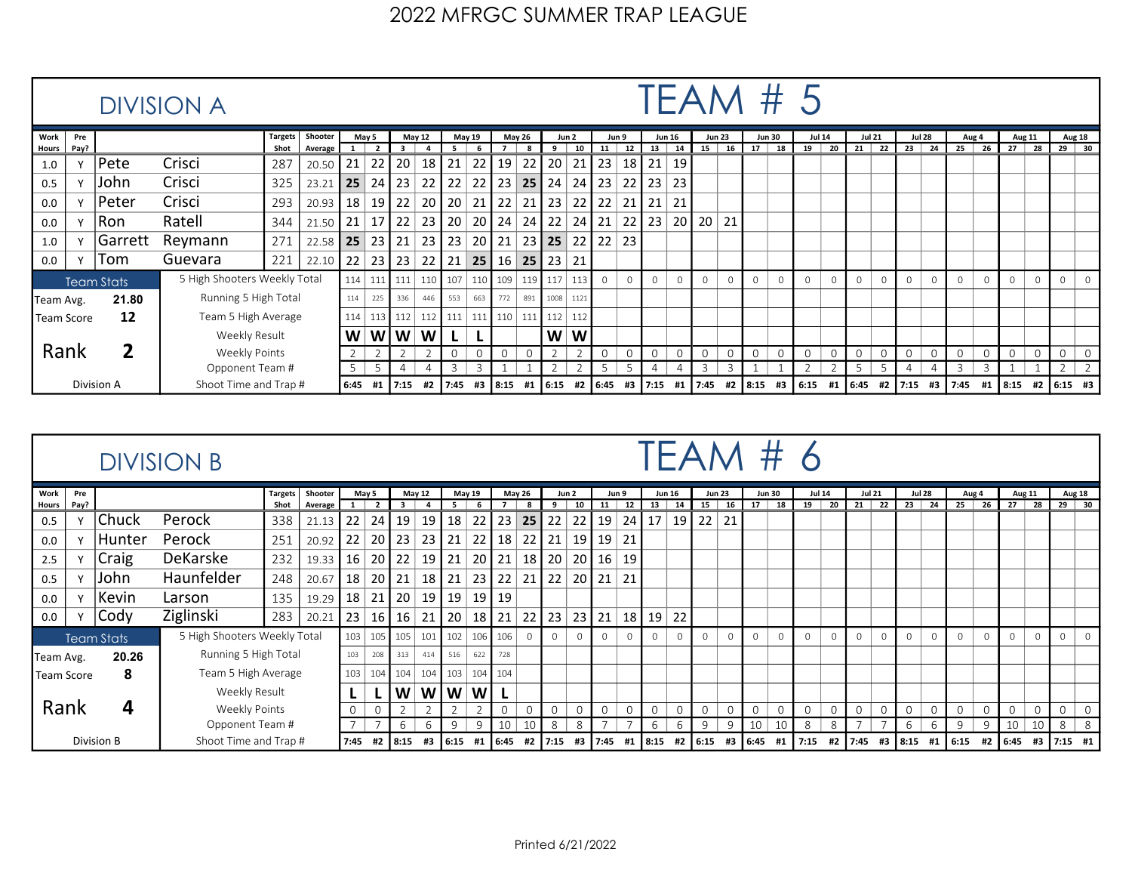|                                                    |                                                                            |            | <b>DIVISION A</b>     |                |                 |                 |                 |                 |                     |                 |               |        |                         |       |             |          |       |               |               |               |             |                                                                          |               | TEAM # 5       |               |             |               |               |          |          |             |             |               |              |               |
|----------------------------------------------------|----------------------------------------------------------------------------|------------|-----------------------|----------------|-----------------|-----------------|-----------------|-----------------|---------------------|-----------------|---------------|--------|-------------------------|-------|-------------|----------|-------|---------------|---------------|---------------|-------------|--------------------------------------------------------------------------|---------------|----------------|---------------|-------------|---------------|---------------|----------|----------|-------------|-------------|---------------|--------------|---------------|
| <b>Work</b>                                        | Pre                                                                        |            |                       | <b>Targets</b> | Shooter         |                 | May 5           |                 | May 12              |                 | <b>May 19</b> |        | <b>May 26</b>           | Jun 2 |             |          | Jun 9 |               | <b>Jun 16</b> | <b>Jun 23</b> |             |                                                                          | <b>Jun 30</b> |                | <b>Jul 14</b> |             | <b>Jul 21</b> | <b>Jul 28</b> |          |          | Aug 4       |             | <b>Aug 11</b> |              | <b>Aug 18</b> |
| Hours Pay?                                         |                                                                            |            |                       | Shot           | Average         |                 |                 |                 |                     |                 |               |        |                         | 9     | 10          | 11       | 12    | 13            | 14            | 15            | 16          | 17                                                                       | 18            | 19             | 20 I          | 21          | 22            | 23            | 24       | 25       |             | 26 27       | 28            | $29 \mid 30$ |               |
| 1.0                                                |                                                                            | Pete       | Crisci                | 287            | 20.50           | 21              | 22              | 20 <sup>1</sup> | 18                  | 21              | 22            | 19     | 22                      | 20    | 21          | 23       | 18    | $^{\circ}$ 21 | 19            |               |             |                                                                          |               |                |               |             |               |               |          |          |             |             |               |              |               |
| 0.5                                                | $\mathbf{v}$                                                               | John       | Crisci                | 325            | 23.21           | 25              | 24 I            | 23              | 22                  | 22              | 22            | 23     | 25                      | 24    | 24          | 23       | 22    | 23            | 23            |               |             |                                                                          |               |                |               |             |               |               |          |          |             |             |               |              |               |
| 0.0                                                |                                                                            | Peter      | Crisci                | 293            | 20.93           | 18 <sup>1</sup> | 19 I            | 22              | 20                  | 20              | 21            | 22     | 21                      | 23    | 22          | 22       | 21    | 21            | 21            |               |             |                                                                          |               |                |               |             |               |               |          |          |             |             |               |              |               |
| 0.0                                                |                                                                            | Ron        | Ratell                | 344            | 21.50           | 21              | 17 <sup>1</sup> | 22              | 23                  | 20 <sub>1</sub> | <b>20</b>     | 24     | 24                      | 22    | 24          | 21       | 22    | 123           | 20 I          | 20            | 21          |                                                                          |               |                |               |             |               |               |          |          |             |             |               |              |               |
| Garrett<br>Reymann<br>1.0<br>Guevara<br>Tom<br>0.0 |                                                                            |            |                       |                | 22.58 <b>25</b> |                 | 23              | 21              | 23                  | 23              | 20            | 21 $ $ | 23                      | 25    | 22          | 22       | 23    |               |               |               |             |                                                                          |               |                |               |             |               |               |          |          |             |             |               |              |               |
|                                                    |                                                                            |            |                       | 221            | 22.10           |                 |                 |                 | 22   23   23   22   | 21              | 25            |        | $16$   25   23          |       | $\sqrt{21}$ |          |       |               |               |               |             |                                                                          |               |                |               |             |               |               |          |          |             |             |               |              |               |
| <b>Team Stats</b>                                  |                                                                            |            |                       |                |                 |                 |                 |                 | 114 111 111 110 107 |                 |               |        | 110 109 119 117         |       | 113         | $\Omega$ |       | $\Omega$      | $\Omega$      | $\Omega$      | $\Omega$    | $\Omega$                                                                 |               | $\Omega$       | $\Omega$      | $\Omega$    | $\Omega$      | $\circ$       | $\Omega$ | $\Omega$ |             | $\Omega$    | $\Omega$      | $\Omega$     | $\Omega$      |
|                                                    | 5 High Shooters Weekly Total<br>Running 5 High Total<br>21.80<br>Team Avg. |            |                       |                |                 | 114             | 225             | 336             | 446                 | 553             | 663           | 772    | 891                     | 1008  | 1121        |          |       |               |               |               |             |                                                                          |               |                |               |             |               |               |          |          |             |             |               |              |               |
| Team Score                                         |                                                                            | 12         | Team 5 High Average   |                |                 | 114             |                 |                 |                     | 113 112 112 111 |               |        | $111$ $110$ $111$ $112$ |       | 112         |          |       |               |               |               |             |                                                                          |               |                |               |             |               |               |          |          |             |             |               |              |               |
|                                                    |                                                                            |            | Weekly Result         |                |                 | W               |                 | WW              | W                   |                 |               |        |                         | W     | W           |          |       |               |               |               |             |                                                                          |               |                |               |             |               |               |          |          |             |             |               |              |               |
|                                                    | Rank                                                                       | 2          | Weekly Points         |                |                 |                 |                 |                 |                     | 0               |               | 0      |                         |       |             | 0        | 0     | $\mathbf 0$   | 0             | 0             | $\mathbf 0$ | $\mathbf 0$                                                              |               | $\overline{0}$ | 0             | $\mathbf 0$ | 0             | $\mathbf 0$   | 0        |          | $\mathbf 0$ | $\mathbf 0$ | $\mathbf{0}$  | $\mathbf 0$  |               |
|                                                    |                                                                            |            | Opponent Team #       |                |                 | 5               | -5              | $\overline{4}$  |                     | 3               | 3             |        |                         |       |             |          |       |               |               | 3             | 3           |                                                                          |               |                |               | 5           | 5             |               |          |          | 3           |             |               |              |               |
|                                                    |                                                                            | Division A | Shoot Time and Trap # |                |                 | 6:45            |                 | #1 7:15         |                     |                 |               |        |                         |       |             |          |       |               |               |               |             | #2   7:45 #3   8:15 #1   6:15 #2   6:45 #3   7:15 #1   7:45 #2   8:15 #3 |               |                |               |             |               |               |          |          |             | #1 8:15 #2  |               | $6:15$ #3    |               |

### DIVISION B

|                                                                                                                                                                                                                                                                            |     |  |                              |                |                        |                |                       |      |                   |     |                   |           |               |             |                 |           |             |                |             |                    |         |             |                | TEAM # 6        |         |               |                |               |              |          |             |            |              |               |                |
|----------------------------------------------------------------------------------------------------------------------------------------------------------------------------------------------------------------------------------------------------------------------------|-----|--|------------------------------|----------------|------------------------|----------------|-----------------------|------|-------------------|-----|-------------------|-----------|---------------|-------------|-----------------|-----------|-------------|----------------|-------------|--------------------|---------|-------------|----------------|-----------------|---------|---------------|----------------|---------------|--------------|----------|-------------|------------|--------------|---------------|----------------|
| Work                                                                                                                                                                                                                                                                       | Pre |  |                              | <b>Targets</b> | Shooter                |                | May 5                 |      | <b>May 12</b>     |     | <b>May 19</b>     |           | <b>May 26</b> | Jun 2       |                 | Jun 9     |             | <b>Jun 16</b>  |             | <b>Jun 23</b>      |         |             | Jun 30         | <b>Jul 14</b>   |         | <b>Jul 21</b> |                | <b>Jul 28</b> |              | Aug 4    |             | Aug 11     |              | <b>Aug 18</b> |                |
| <b>DIVISION B</b><br>Hours Pay?<br> Chuck<br>Perock<br>0.5<br>Perock<br>Hunter<br>0.0<br>Craig<br>2.5<br>John<br>0.5<br> Kevin<br>Larson<br>0.0<br>v<br>Ziglinski<br> Cody<br>0.0<br><b>Team Stats</b><br>20.26<br>Team Avg.<br>8<br>Team Score<br>4<br>Rank<br>Division B |     |  |                              | Shot Average   | 1                      | $\overline{2}$ | 3                     |      | -5                | 6   |                   | 8         | 9             | 10          | 11              | 12        | 13          | 14             | 15          | 16                 | 17      | 18          | 19             | 20 I            | 21      | 22            | 23             | 24            | $25 \mid 26$ |          | 27          | 28         | $29 \mid 30$ |               |                |
|                                                                                                                                                                                                                                                                            |     |  |                              | 338            | 21.13                  | 22             | 24 19                 |      | 19 I              | 18  | 22                | 23        | 25            | 22          | 22              | 19        | 24          | 17             | 19 I        | 22                 | 21      |             |                |                 |         |               |                |               |              |          |             |            |              |               |                |
|                                                                                                                                                                                                                                                                            |     |  |                              | 251            | 20.92                  | 22             | $\vert$ 20 $\vert$ 23 |      | 23                | 21  | 22                | 18        | 22            | 21          | 19              | 19        | 21          |                |             |                    |         |             |                |                 |         |               |                |               |              |          |             |            |              |               |                |
|                                                                                                                                                                                                                                                                            |     |  | DeKarske                     | 232            | 19.33                  |                | 16   20   22   19     |      |                   | 21  | 20 <sub>1</sub>   | 21        | 18            | 20          | -20 I           | <b>16</b> | 19          |                |             |                    |         |             |                |                 |         |               |                |               |              |          |             |            |              |               |                |
|                                                                                                                                                                                                                                                                            |     |  | Haunfelder                   | 248            | $20.67$   18   20   21 |                |                       |      | 18                | 21  | 23                | 22        | 21            | 22          | 20 <sub>l</sub> | 21        | 21          |                |             |                    |         |             |                |                 |         |               |                |               |              |          |             |            |              |               |                |
|                                                                                                                                                                                                                                                                            |     |  |                              | 135            | 19.29                  | 18             | $\vert$ 21 $\vert$ 20 |      | 19 19             |     |                   | $19$   19 |               |             |                 |           |             |                |             |                    |         |             |                |                 |         |               |                |               |              |          |             |            |              |               |                |
|                                                                                                                                                                                                                                                                            |     |  |                              | 283            | 20.21                  |                | 23   16   16   21     |      |                   | 20  | 18                |           | $21$ 22 23    |             | 23              | 21        |             | $18$   19      | 22          |                    |         |             |                |                 |         |               |                |               |              |          |             |            |              |               |                |
|                                                                                                                                                                                                                                                                            |     |  | 5 High Shooters Weekly Total |                |                        | 103            |                       |      | $105$ 105 101 102 |     |                   | $106$ 106 | $\circ$       | $\circ$     | $\circ$         | $\circ$   | $\circ$     | $\overline{0}$ | $\circ$     | 0                  | $\circ$ | 0           | $\Omega$       | $\circ$         | $\circ$ | $\circ$       | $\overline{0}$ | $\circ$       | $\circ$      | $\Omega$ | $\Omega$    | $\circ$    | $\Omega$     | $\circ$       | $\overline{0}$ |
|                                                                                                                                                                                                                                                                            |     |  | Running 5 High Total         |                |                        | 103            | 208                   | 313  | 414               | 516 | 622               | 728       |               |             |                 |           |             |                |             |                    |         |             |                |                 |         |               |                |               |              |          |             |            |              |               |                |
|                                                                                                                                                                                                                                                                            |     |  | Team 5 High Average          |                |                        | 103            |                       |      | 104 104 104 103   |     | 104 104           |           |               |             |                 |           |             |                |             |                    |         |             |                |                 |         |               |                |               |              |          |             |            |              |               |                |
|                                                                                                                                                                                                                                                                            |     |  | Weekly Result                |                |                        |                |                       | W    | $\vert$ W $\vert$ | ١w  | W                 |           |               |             |                 |           |             |                |             |                    |         |             |                |                 |         |               |                |               |              |          |             |            |              |               |                |
|                                                                                                                                                                                                                                                                            |     |  | Weekly Points                |                |                        | $\overline{0}$ | $\Omega$              |      |                   |     |                   | 0         | $\mathbf 0$   | $\mathbf 0$ | $\mathbf 0$     |           | $\mathbf 0$ | $\mathbf 0$    | $\mathbf 0$ | 0                  |         | $\mathbf 0$ | $\overline{0}$ | $\mathbf{0}$    |         |               |                |               |              |          | $\mathbf 0$ | $\Omega$   |              | $\mathbf{0}$  |                |
|                                                                                                                                                                                                                                                                            |     |  | Opponent Team #              |                |                        |                |                       | 6    |                   | 9   | 9                 | 10        | 10            | 8           | 8               |           |             | 6              | 6           | 9                  | 9       | 10          | 10             | 8               | 8       |               |                | 6             | 6            | 9        | 9           | 10         | 10           | 8             | - 8            |
|                                                                                                                                                                                                                                                                            |     |  | Shoot Time and Trap #        |                |                        | $7:45$ #2      |                       | 8:15 | #3                |     | $6:15$ #1 6:45 #2 |           |               | 7:15        | #3              | $7:45$ #1 |             | 8:15           |             | #2 6:15 #3 6:45 #1 |         |             |                | 7:15 #2 7:45 #3 |         |               |                | 8:15 #1       |              | 16:15    |             | #2 6:45 #3 |              | $7:15$ #1     |                |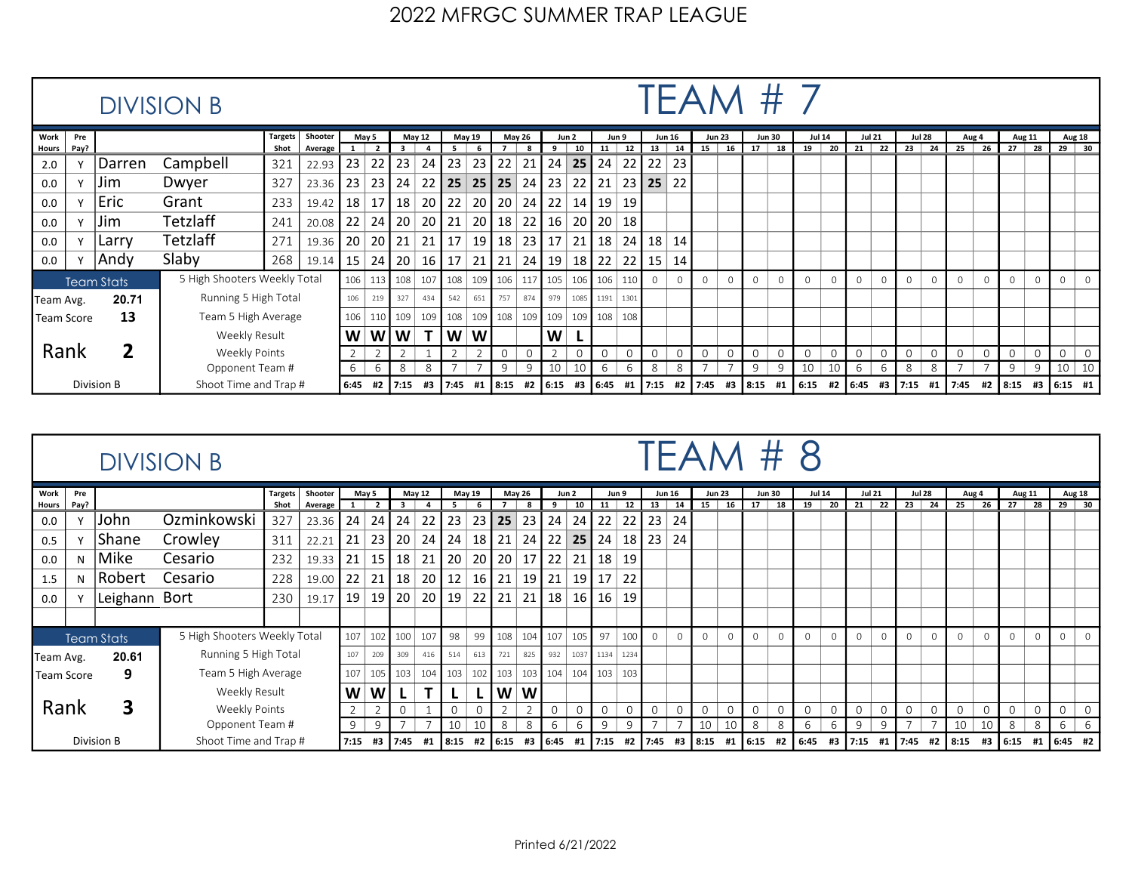|                                        |                                                                        |            | <b>DIVISION B</b>            |                |                                  |                 |                 |         |                 |           |                 |                   |                   |                           |                 |             |             |          |               |          |               | TEAM #                                                                                                            |               |              |               |              |               |                                  |          |          |             |             |               |               |          |
|----------------------------------------|------------------------------------------------------------------------|------------|------------------------------|----------------|----------------------------------|-----------------|-----------------|---------|-----------------|-----------|-----------------|-------------------|-------------------|---------------------------|-----------------|-------------|-------------|----------|---------------|----------|---------------|-------------------------------------------------------------------------------------------------------------------|---------------|--------------|---------------|--------------|---------------|----------------------------------|----------|----------|-------------|-------------|---------------|---------------|----------|
| Work                                   | Pre                                                                    |            |                              | <b>Targets</b> | Shooter                          |                 | May 5           |         | <b>May 12</b>   |           | <b>May 19</b>   |                   | <b>May 26</b>     |                           | Jun 2           |             | Jun 9       |          | <b>Jun 16</b> |          | <b>Jun 23</b> |                                                                                                                   | <b>Jun 30</b> |              | <b>Jul 14</b> |              | <b>Jul 21</b> | <b>Jul 28</b>                    |          |          | Aug 4       |             | <b>Aug 11</b> | <b>Aug 18</b> |          |
| Hours Pay?                             |                                                                        |            |                              | Shot           | Average                          |                 | $\overline{2}$  | - 3     |                 | 5.        |                 |                   | 8                 | 9                         | 10              | 11          | 12          | 13       | 14            | 15       | 16            | 17                                                                                                                | 18            | 19           | 20 I          |              | $21 \mid 22$  | 23                               | 24       | 25       |             | 26 27       | 28            | $29 \mid 30$  |          |
| 2.0                                    |                                                                        | Darren     | Campbell                     | 321            | 22.93                            | 23              | 22              | 23      | 24              | 23        | 23              | 22                | 21                | 24                        | 25              | 24          | 22          | 22       | 23            |          |               |                                                                                                                   |               |              |               |              |               |                                  |          |          |             |             |               |               |          |
| 0.0                                    |                                                                        | Jim        | Dwyer                        | 327            | $23.36$   23                     |                 | 23 I            | 24      | 22              | 25        | 25              | $25 \mid 24 \mid$ |                   | 123                       | 22              | 21          | 23          | 125      | 22            |          |               |                                                                                                                   |               |              |               |              |               |                                  |          |          |             |             |               |               |          |
| 0.0                                    |                                                                        | Eric       | Grant                        | 233            | 19.42                            | 18              | 17 <sup>1</sup> | 18 l    | 20 <sup>1</sup> | 22        | <b>20</b>       | 20                | 24                | 22                        | 14              | 19          | 19          |          |               |          |               |                                                                                                                   |               |              |               |              |               |                                  |          |          |             |             |               |               |          |
| 0.0                                    |                                                                        | Jim        | Tetzlaff                     | 241            | 20.08                            | 22              | 24              | 20      |                 | $20$   21 | 20 <sup>1</sup> | $\vert 18 \vert$  | 22                | 16                        | 20              | 20          | 18          |          |               |          |               |                                                                                                                   |               |              |               |              |               |                                  |          |          |             |             |               |               |          |
| 0.0                                    |                                                                        | Larry      | 271                          | $19.36$   20   |                                  | 20 <sub>l</sub> | 21              | 21      | 17              | 19        | 18 <sub>1</sub> | 23 I              | $\sqrt{17}$       | 21                        | 18 <sup>2</sup> | 24          | 18          | 14       |               |          |               |                                                                                                                   |               |              |               |              |               |                                  |          |          |             |             |               |               |          |
| Tetzlaff<br>Slaby<br> Andy<br>0.0<br>Y |                                                                        |            |                              | 268            | $19.14$   15   24   20   16   17 |                 |                 |         |                 |           | 21              |                   |                   | $21 \mid 24 \mid 19 \mid$ | 18              | 22          | 221         | 15       | 14            |          |               |                                                                                                                   |               |              |               |              |               |                                  |          |          |             |             |               |               |          |
|                                        |                                                                        |            | 5 High Shooters Weekly Total |                |                                  |                 | $106$ 113       | 108     | 107             | 108       | 109             |                   | $106$   117   105 |                           | 106             |             | $106$   110 | $\Omega$ | $\Omega$      | $\Omega$ | $\Omega$      | $\Omega$                                                                                                          |               | $\Omega$     | $\Omega$      | $\Omega$     | $\Omega$      | $\Omega$                         | $\Omega$ | $\Omega$ |             | $\Omega$    | $\Omega$      | $\Omega$      | $\Omega$ |
|                                        |                                                                        | 20.71      | Running 5 High Total         |                |                                  | 106             | 219             | 327     | 434             | 542       | 651             | 757               | 874               | 979                       | 1085            |             | 1191   1301 |          |               |          |               |                                                                                                                   |               |              |               |              |               |                                  |          |          |             |             |               |               |          |
|                                        |                                                                        | 13         | Team 5 High Average          |                |                                  | 106             | 110             | 109     |                 | 109 108   | 109             |                   |                   | 108 109 109               | 109             | $108$   108 |             |          |               |          |               |                                                                                                                   |               |              |               |              |               |                                  |          |          |             |             |               |               |          |
|                                        |                                                                        |            | Weekly Result                |                |                                  | W               |                 | WW      |                 | W         | W               |                   |                   | W                         |                 |             |             |          |               |          |               |                                                                                                                   |               |              |               |              |               |                                  |          |          |             |             |               |               |          |
|                                        | <b>Team Stats</b><br>Team Avg.<br>Team Score<br>$\overline{2}$<br>Rank |            | Weekly Points                |                |                                  |                 |                 |         |                 |           |                 | 0                 |                   |                           |                 | 0           | 0           | 0        | 0             | 0        | 0             | $\mathbf 0$                                                                                                       |               | $\mathbf{0}$ | 0             | $\mathbf{0}$ | 0             | $\mathbf 0$                      | 0        |          | $\mathbf 0$ | $\mathbf 0$ | $\mathbf{0}$  | 0             |          |
|                                        |                                                                        |            | Opponent Team #              |                |                                  | 6               | 6               | 8       | 8               |           |                 | 9                 | 9                 | 10                        | 10              | 6           | 6           | 8        | 8             |          |               | 9                                                                                                                 | 9             | 10           | .10           | 6            | 6             | 8                                | 8        |          |             | 9           | 9             | 10   10       |          |
|                                        |                                                                        | Division B | Shoot Time and Trap #        |                |                                  | 6:45            |                 | #2 7:15 | #3              |           |                 |                   |                   |                           |                 |             |             |          |               |          |               | $\begin{bmatrix} 7:45 & #1 & 8:15 & #2 & 6:15 & #3 & 6:45 & #1 & 7:15 & #2 & 7:45 & #3 & 8:15 & #1 \end{bmatrix}$ |               |              |               |              |               | $6:15$ #2 $6:45$ #3 7:15 #1 7:45 |          |          |             | #2 8:15 #3  |               | $6:15$ #1     |          |

### DIVISION B

|                                                                                                                                                                                                                                                            |     |             |                              |                  |         |                 |          |           |         |             |                 |                 |               |          |                 |                   |          |               |             |                                                                                                                        |          |           |                | TEAM # 8          |         |                |          |                          |          |                |          |            |                    |                |                |
|------------------------------------------------------------------------------------------------------------------------------------------------------------------------------------------------------------------------------------------------------------|-----|-------------|------------------------------|------------------|---------|-----------------|----------|-----------|---------|-------------|-----------------|-----------------|---------------|----------|-----------------|-------------------|----------|---------------|-------------|------------------------------------------------------------------------------------------------------------------------|----------|-----------|----------------|-------------------|---------|----------------|----------|--------------------------|----------|----------------|----------|------------|--------------------|----------------|----------------|
| Work                                                                                                                                                                                                                                                       | Pre |             |                              | <b>Targets</b>   | Shooter |                 | May 5    | May 12    |         |             | May 19          |                 | <b>May 26</b> | Jun 2    |                 | Jun 9             |          | <b>Jun 16</b> |             | <b>Jun 23</b>                                                                                                          |          |           | <b>Jun 30</b>  | <b>Jul 14</b>     |         | <b>Jul 21</b>  |          | <b>Jul 28</b>            |          | Aug 4          |          | Aug 11     |                    | <b>Aug 18</b>  |                |
| <b>DIVISION B</b><br>Hours Pay?<br>John<br>0.0<br>Shane<br>Crowley<br>0.5<br>Mike<br>Cesario<br>0.0<br>N<br>Robert<br>Cesario<br>1.5<br>N<br>Leighann Bort<br>0.0<br><b>Team Stats</b><br>20.61<br>Team Avg.<br>9<br>Team Score<br>3<br>Rank<br>Division B |     | Ozminkowski | Shot<br>327                  | Average<br>23.36 | 24      | 24 <sup>1</sup> | -3<br>24 | 22        | 5<br>23 |             | $23$   25       | 23              | 9<br>24       | 10<br>24 | 11<br>22        | 12<br><b>22 l</b> | 13<br>23 | 14<br>24      | 15          | 16 I                                                                                                                   | 17       | 18        | 19             | 20 I              | 21      | 22             | 23       | 24                       | 25       | - 26           | 27       | 28         | $29 \overline{30}$ |                |                |
|                                                                                                                                                                                                                                                            |     |             |                              |                  |         |                 |          |           |         |             |                 |                 |               |          |                 |                   |          |               |             |                                                                                                                        |          |           |                |                   |         |                |          |                          |          |                |          |            |                    |                |                |
|                                                                                                                                                                                                                                                            |     |             |                              | 311              | 22.21   | 21              | 23       | 20        | 24      | 24          | 18              | 21              | 24            | 22       | 25              | 24                | 18 I     | 23            | 24          |                                                                                                                        |          |           |                |                   |         |                |          |                          |          |                |          |            |                    |                |                |
|                                                                                                                                                                                                                                                            |     |             | 232                          | 19.33            | 21      | 15   18         |          | 21        | 20      | 20 l        | 20              | 17 <sup>1</sup> | 22            | 21 I     | 18 <sup>1</sup> | 19                |          |               |             |                                                                                                                        |          |           |                |                   |         |                |          |                          |          |                |          |            |                    |                |                |
|                                                                                                                                                                                                                                                            |     |             |                              | 228              | 19.00   | 22              | 21 I     | 18        | 20      | 12          | 16 <sup>1</sup> | 21              | 19 I          | 21       | 19              | 17                | 22       |               |             |                                                                                                                        |          |           |                |                   |         |                |          |                          |          |                |          |            |                    |                |                |
|                                                                                                                                                                                                                                                            |     |             |                              | 230              | 19.17   | <sup>19</sup>   |          | $19$   20 | 20 l    | 19          | <b>22 l</b>     | 21              | 21            | 18       | 16 I            | $16 \mid$         | 19       |               |             |                                                                                                                        |          |           |                |                   |         |                |          |                          |          |                |          |            |                    |                |                |
|                                                                                                                                                                                                                                                            |     |             |                              |                  |         |                 |          |           |         |             |                 |                 |               |          |                 |                   |          |               |             |                                                                                                                        |          |           |                |                   |         |                |          |                          |          |                |          |            |                    |                |                |
|                                                                                                                                                                                                                                                            |     |             | 5 High Shooters Weekly Total |                  |         | 107             |          | 102 100   | 107     | 98          | 99              | 108             | $104$ 107     |          | 105             | 97                | 100      | $\Omega$      | $\Omega$    | $\circ$                                                                                                                | $\Omega$ | $\Omega$  | $\Omega$       | $\Omega$          | $\circ$ | $\overline{0}$ | $\Omega$ | $\circ$                  | $\Omega$ | $\Omega$       | $\Omega$ | $\circ$    | $\Omega$           | $\overline{0}$ | $\overline{0}$ |
|                                                                                                                                                                                                                                                            |     |             | Running 5 High Total         |                  |         | 107             | 209      | 309       | 416     | 514         | 613             | 721             | 825           | 932      | 1037            | $1134$ 1234       |          |               |             |                                                                                                                        |          |           |                |                   |         |                |          |                          |          |                |          |            |                    |                |                |
|                                                                                                                                                                                                                                                            |     |             | Team 5 High Average          |                  |         | 107             | 105      | 103       |         | 104 103     |                 | $102$ 103       | 103 104       |          |                 | 104 103 103       |          |               |             |                                                                                                                        |          |           |                |                   |         |                |          |                          |          |                |          |            |                    |                |                |
|                                                                                                                                                                                                                                                            |     |             | Weekly Result                |                  |         | W               | W        |           |         |             |                 | W               | W             |          |                 |                   |          |               |             |                                                                                                                        |          |           |                |                   |         |                |          |                          |          |                |          |            |                    |                |                |
|                                                                                                                                                                                                                                                            |     |             | Weekly Points                |                  |         |                 |          |           |         | $\mathbf 0$ | $\Omega$        |                 |               | $\Omega$ | $\Omega$        |                   | $\Omega$ | $\mathbf 0$   | $\mathbf 0$ | $\Omega$                                                                                                               |          | $\Omega$  | $\overline{0}$ | $\mathbf{0}$      |         |                | $\Omega$ |                          |          |                | $\Omega$ | $\Omega$   | $\Omega$           | $\mathbf{0}$   |                |
|                                                                                                                                                                                                                                                            |     |             | Opponent Team #              |                  |         | 9               | 9        |           |         | 10          | 10              | 8               | 8             | 6        | 6               | 9                 | -9       |               |             | 10                                                                                                                     | 10       | 8         | 8              | 6                 | 6       | 9              | 9        | $\overline{\phantom{0}}$ |          | 10             | 10       | 8          | 8                  | 6              | - 6            |
|                                                                                                                                                                                                                                                            |     |             | Shoot Time and Trap #        |                  |         | 7:15            | #3       | 7:45      | #1      | 8:15        |                 | #2 6:15         | #3            | 6:45     | #1              |                   |          |               |             | $\begin{array}{ c c c c c c c c } \hline 7:15 & \text{\#2} & 7:45 & \text{\#3} & 8:15 & \text{\#1} \hline \end{array}$ |          | $6:15$ #2 |                | $6:45$ #3 7:15 #1 |         |                |          |                          |          | 7:45 #2   8:15 |          | #3 6:15 #1 |                    | $6:45$ #2      |                |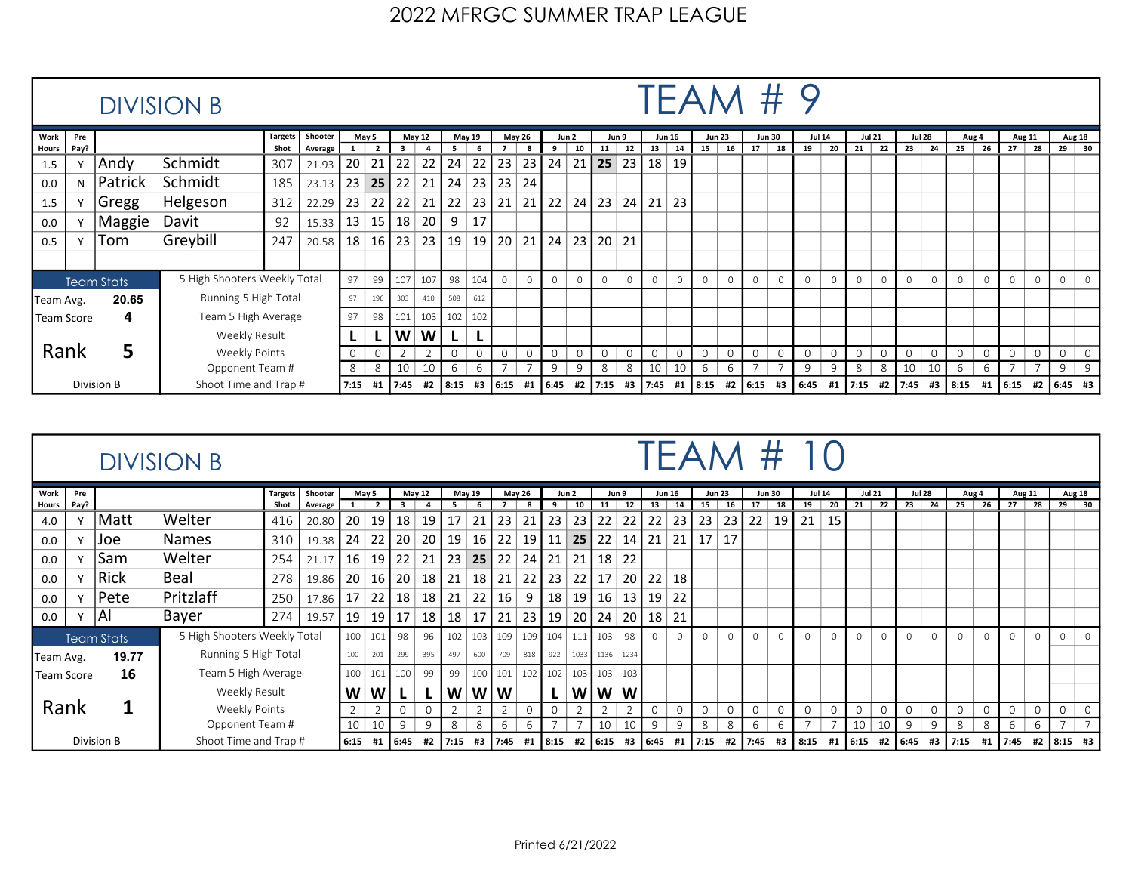|            |                                                            |            | <b>DIVISION B</b>            |                |              |             |                 |                         |               |                                                                              |        |                 |               |                   |          |          |          |              |               |                 |               | TEAM # 1    |               |                |                 |               |             |                        |               |          |             |            |               |              |                |
|------------|------------------------------------------------------------|------------|------------------------------|----------------|--------------|-------------|-----------------|-------------------------|---------------|------------------------------------------------------------------------------|--------|-----------------|---------------|-------------------|----------|----------|----------|--------------|---------------|-----------------|---------------|-------------|---------------|----------------|-----------------|---------------|-------------|------------------------|---------------|----------|-------------|------------|---------------|--------------|----------------|
| Work       | Pre                                                        |            |                              | <b>Targets</b> | Shooter      |             | May 5           |                         | <b>May 12</b> |                                                                              | May 19 |                 | <b>May 26</b> |                   | Jun 2    |          | Jun 9    |              | <b>Jun 16</b> |                 | <b>Jun 23</b> |             | <b>Jun 30</b> |                | <b>Jul 14</b>   | <b>Jul 21</b> |             |                        | <b>Jul 28</b> |          | Aug 4       |            | <b>Aug 11</b> |              | <b>Aug 18</b>  |
| Hours Pay? |                                                            |            |                              | Shot           | Average      |             |                 | $\overline{\mathbf{3}}$ |               | -5                                                                           | -6     |                 | 8             | 9                 | 10       | 11       | 12       | 13           | 14            | 15              | 16            | 17          | 18            | 19             | $\overline{20}$ | 21            | 22          | 23                     | 24            | 25       |             | 26 27      | 28            | $29 \mid 30$ |                |
| 1.5        | Y                                                          | Andy       | Schmidt                      | 307            | 21.93        | 20          | 21              | 22                      | 22            | 24                                                                           | 22     | 23              | 23            | 24                | 21       | 25       | 23       | 18           | 19            |                 |               |             |               |                |                 |               |             |                        |               |          |             |            |               |              |                |
| 0.0        | N                                                          | Patrick    | Schmidt                      | 185            | 23.13        | 23          | 25              | 22                      | 21            | 24                                                                           | 23     | 23              | -24           |                   |          |          |          |              |               |                 |               |             |               |                |                 |               |             |                        |               |          |             |            |               |              |                |
| 1.5        |                                                            | Gregg      | Helgeson                     | 312            | 22.29        | 23          | 22              | 22                      | 21            | 22                                                                           | 23     | 21              | 21            | 22                | 24       | 23       | 24       | 21           | 23            |                 |               |             |               |                |                 |               |             |                        |               |          |             |            |               |              |                |
| 0.0        |                                                            | Maggie     | Davit                        | 92             | 15.33        | 13          | 15 <sup>1</sup> | 18 <sup>1</sup>         | 20            | 9                                                                            | 17     |                 |               |                   |          |          |          |              |               |                 |               |             |               |                |                 |               |             |                        |               |          |             |            |               |              |                |
| 0.5        |                                                            | Tom        | Greybill                     | 247            | $20.58$   18 |             | 16 I            | 23                      | 23            | 19                                                                           | 19     | 20 <sup>1</sup> | -21           | 24                | 23       | 20       | 21       |              |               |                 |               |             |               |                |                 |               |             |                        |               |          |             |            |               |              |                |
|            | <b>Team Stats</b><br>20.65<br>Team Avg.<br>4<br>Team Score |            |                              |                |              |             |                 |                         |               |                                                                              |        |                 |               |                   |          |          |          |              |               |                 |               |             |               |                |                 |               |             |                        |               |          |             |            |               |              |                |
|            |                                                            |            | 5 High Shooters Weekly Total |                |              | 97          | 99              | 107                     | 107           | 98                                                                           | 104    | $\mathbf{0}$    | $\Omega$      | $\Omega$          | $\Omega$ | $\Omega$ | $\Omega$ | $\Omega$     | $\Omega$      | $\Omega$        | $\Omega$      | $\Omega$    |               | $\Omega$       | $\Omega$        | $\circ$       | $\Omega$    | $\circ$                | $\Omega$      | $\Omega$ |             | $\Omega$   | $\Omega$      | $\circ$      | $\Omega$       |
|            |                                                            |            | Running 5 High Total         |                |              | 97          | 196             | 303                     | 410           | 508                                                                          | 612    |                 |               |                   |          |          |          |              |               |                 |               |             |               |                |                 |               |             |                        |               |          |             |            |               |              |                |
|            |                                                            |            | Team 5 High Average          |                |              | 97          | 98              | 101                     | 103           | 102                                                                          | 102    |                 |               |                   |          |          |          |              |               |                 |               |             |               |                |                 |               |             |                        |               |          |             |            |               |              |                |
|            |                                                            |            | Weekly Result                |                |              | L           |                 | W                       | W             |                                                                              |        |                 |               |                   |          |          |          |              |               |                 |               |             |               |                |                 |               |             |                        |               |          |             |            |               |              |                |
|            | Rank                                                       | 5          | Weekly Points                |                |              | $\mathbf 0$ | $\mathbf 0$     |                         |               |                                                                              |        | 0               |               | $\mathbf 0$       |          | 0        |          | $\mathbf{0}$ | 0             | 0               | $\Omega$      | $\mathbf 0$ |               | $\overline{0}$ | 0               | $\mathbf{0}$  | $\mathbf 0$ | $\overline{0}$         | $\mathbf 0$   |          | $\mathbf 0$ | $\Omega$   | $\Omega$      | 0            | $\overline{0}$ |
|            |                                                            |            | Opponent Team #              |                |              | 8           | 8               | 10                      | 10            | 6                                                                            | 6      |                 |               | 9                 | 9        | 8        | 8        | 10           | 10            | 6               | b             |             |               | 9              | q               | 8             | 8           | 10                     | 10            | 6        | 6           |            |               | 9            | -9             |
|            |                                                            | Division B | Shoot Time and Trap #        |                |              | 7:15        | #1              | 17:45                   | #2            | $\begin{array}{ c c c c c } 8:15 & \text{#3} & 6:15 & \text{#1} \end{array}$ |        |                 |               | $6:45$ #2 7:15 #3 |          |          |          |              |               | 7:45 #1 8:15 #2 |               | $6:15$ #3   |               | $6:45$ #1      |                 |               |             | . 7:15 #2 7:45 #3 8:15 |               |          |             | #1 6:15 #2 |               | $6:45$ #3    |                |

|              |                                 |                                                                                                                                                                                 |                              |                |                 |                 |                 |           |                |       |                   |                 |                |           |                 |                 |      |              |               |               |                |             |                | TFAM # 10     |          |               |          |                |          |          |          |            |               |                    |                |
|--------------|---------------------------------|---------------------------------------------------------------------------------------------------------------------------------------------------------------------------------|------------------------------|----------------|-----------------|-----------------|-----------------|-----------|----------------|-------|-------------------|-----------------|----------------|-----------|-----------------|-----------------|------|--------------|---------------|---------------|----------------|-------------|----------------|---------------|----------|---------------|----------|----------------|----------|----------|----------|------------|---------------|--------------------|----------------|
| Work         | Pre                             |                                                                                                                                                                                 |                              | <b>Targets</b> | Shooter         |                 | May 5           | May 12    |                |       | <b>May 19</b>     | <b>May 26</b>   |                |           | Jun 2           | Jun 9           |      |              | <b>Jun 16</b> | <b>Jun 23</b> |                |             | <b>Jun 30</b>  | <b>Jul 14</b> |          | <b>Jul 21</b> |          | <b>Jul 28</b>  |          | Aug 4    |          |            | <b>Aug 11</b> | <b>Aug 18</b>      |                |
| <b>Hours</b> |                                 |                                                                                                                                                                                 |                              | Shot           | <b>Average</b>  | 1               |                 |           |                | 5     |                   |                 |                |           | 10              | 11              | 12   | 13           | 14            | 15            | 16             | 17          | 18             | 19            | 20       | 21            | 22       | 23             | 24       | 25       | - 26     | 27         | 28            | $29 \overline{30}$ |                |
| 4.0          | Y                               | <b>DIVISION B</b><br>Welter<br>Matt <br><b>Names</b><br>Joe<br>Welter<br> Sam<br> Rick <br><b>Beal</b><br>Y<br>Pritzlaff<br> Pete<br>Y<br>IAI<br>Bayer<br>Y<br>19.77<br>16<br>1 |                              | 416            | 20.80           | 20 <sup>1</sup> |                 | $19$   18 | 19 l           | 17    | 21                | 23              | 21             | 23        | 23              | 22              | 22   | 22           | 23            | 23            | 23             | 22          | 19             | 21            | 15       |               |          |                |          |          |          |            |               |                    |                |
| 0.0          |                                 |                                                                                                                                                                                 |                              | 310            | 19.38           | 24              | 22 <sub>1</sub> | 20        | 20 l           | 19    | 16 <sup>1</sup>   | 22              | 19 I           | 11        | 25              | 22              | 14 I | 21           | 21 I          | 17            | 17             |             |                |               |          |               |          |                |          |          |          |            |               |                    |                |
| 0.0          | Pay?<br><b>Team Stats</b>       |                                                                                                                                                                                 |                              | 254            | 21.17           | 16              |                 |           | $19$   22   21 | 23    |                   | 25 22           | $24$   21      |           | 21 I            | 18 <sup>2</sup> | -22  |              |               |               |                |             |                |               |          |               |          |                |          |          |          |            |               |                    |                |
| 0.0          |                                 |                                                                                                                                                                                 |                              | 278            | 19.86           | 20 <sup>1</sup> | 16 <sup>1</sup> | 20        | 18 I           | 21    | 18                | 21              |                | $22$   23 | 22              | 17              | 20 I | 22           | 18            |               |                |             |                |               |          |               |          |                |          |          |          |            |               |                    |                |
| 0.0          | Division B                      |                                                                                                                                                                                 |                              | 250            | 17.86           | 17              |                 | $22$   18 | 18             | 21    | 22                | 16              | 9              | 18        | 19 <sup>1</sup> | $16 \mid$       | 13 I | 19           | 22            |               |                |             |                |               |          |               |          |                |          |          |          |            |               |                    |                |
| 0.0          | Team Avg.<br>Team Score<br>Rank |                                                                                                                                                                                 | 274                          | 19.57          | 19 <sup>°</sup> |                 | $19$   17       | 18 I      | 18             | 17 I  | $21 \mid 23 \mid$ |                 | 19             | 20 I      | 24   20         |                 | 18   | 21           |               |               |                |             |                |               |          |               |          |                |          |          |          |            |               |                    |                |
|              |                                 |                                                                                                                                                                                 | 5 High Shooters Weekly Total |                |                 | 100             | 101             | 98        | 96             | 102   |                   | 103 109 109 104 |                |           | 111             | 103             | 98 I | $\Omega$     | $\Omega$      | $\Omega$      | $\Omega$       | $\Omega$    | $\Omega$       | $\circ$       | $\Omega$ | $\Omega$      | $\Omega$ | $\circ$        | $\Omega$ | $\Omega$ | $\Omega$ | $\Omega$   | $\Omega$      | $\overline{0}$     | $\overline{0}$ |
|              |                                 |                                                                                                                                                                                 | Running 5 High Total         |                |                 | 100             | 201             | 299       | 395            | 497   | 600               | 709             | 818            | 922       | 1033            | 1136 1234       |      |              |               |               |                |             |                |               |          |               |          |                |          |          |          |            |               |                    |                |
|              |                                 |                                                                                                                                                                                 | Team 5 High Average          |                |                 | 100             | 101             | 100       | 99             | 99    | 100               | 101             |                | 102 102   | 103             | $103 \mid 103$  |      |              |               |               |                |             |                |               |          |               |          |                |          |          |          |            |               |                    |                |
|              |                                 |                                                                                                                                                                                 | Weekly Result                |                |                 | W               | W               |           |                | W     |                   | wlw             |                | L         | W               | w w             |      |              |               |               |                |             |                |               |          |               |          |                |          |          |          |            |               |                    |                |
|              |                                 |                                                                                                                                                                                 | Weekly Points                |                |                 |                 |                 |           |                |       |                   |                 | $\overline{0}$ | 0         |                 |                 |      | $\mathbf{0}$ | $\circ$       | 0             | $\overline{0}$ | $\mathbf 0$ | $\overline{0}$ | 0             |          |               | $\Omega$ | $\mathbf 0$    | $\Omega$ |          | $\Omega$ | $\Omega$   | $\Omega$      | $\overline{0}$     |                |
|              |                                 |                                                                                                                                                                                 | Opponent Team #              |                |                 | 10              | 10              | 9         | 9              | 8     | 8                 | 6               | 6              |           |                 | 10              | 10   | 9            | 9             | 8             | 8              | 6           | 6              |               |          | 10            |          | 9              | 9        | 8        | 8        | 6          | 6             |                    |                |
|              |                                 |                                                                                                                                                                                 | Shoot Time and Trap #        |                |                 | 6:15            |                 | #1 6:45   | #2             | 17:15 |                   | #3 7:45 #1      |                |           |                 |                 |      |              |               |               |                | $7:45$ #3   |                | $8:15$ #1     |          | $6:15$ #2     |          | $6:45$ #3 7:15 |          |          |          | #1 7:45 #2 |               | $8:15$ #3          |                |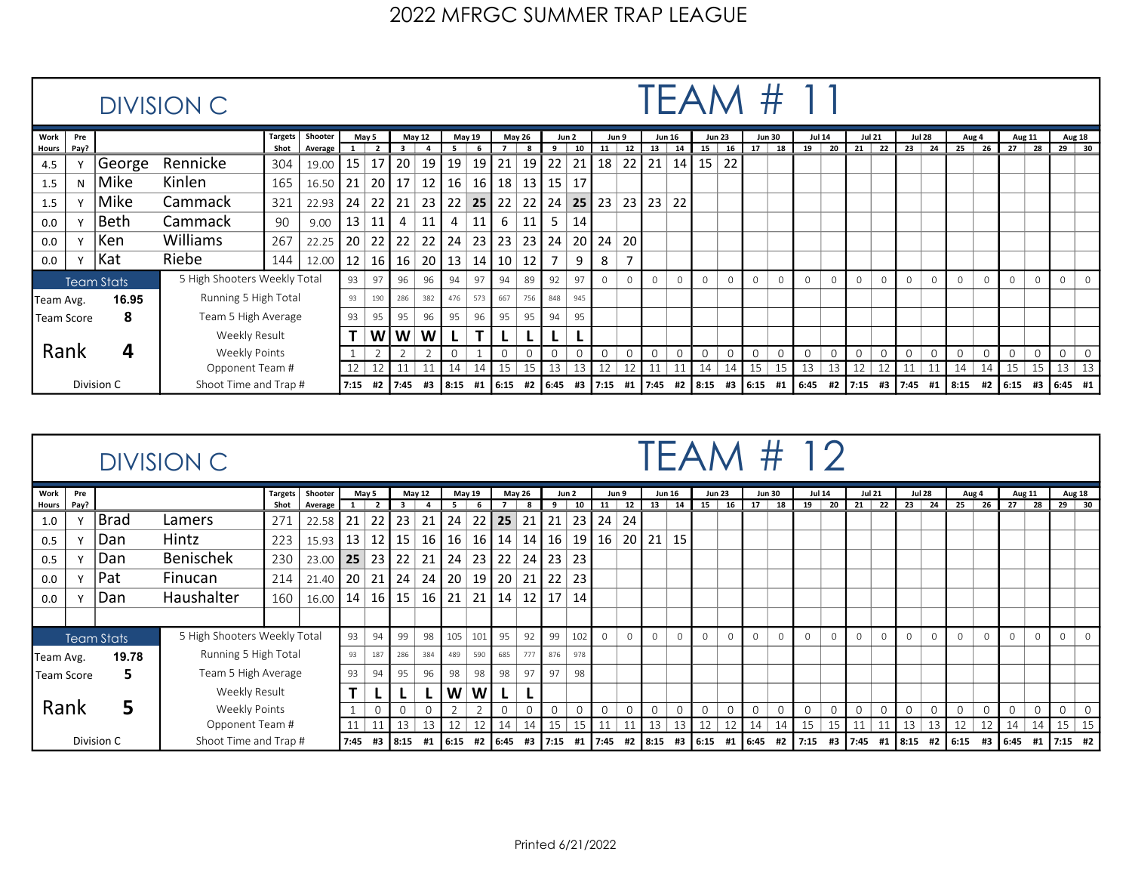|                 |                                         |            | <b>DIVISION C</b>            |                |         |      |                 |           |                 |           |               |                  |                 |     |       |          |                 |             |               |          |               | TFAM #                                                             |               |              |                 |               |          |             |               |          |             |              |               |              |               |
|-----------------|-----------------------------------------|------------|------------------------------|----------------|---------|------|-----------------|-----------|-----------------|-----------|---------------|------------------|-----------------|-----|-------|----------|-----------------|-------------|---------------|----------|---------------|--------------------------------------------------------------------|---------------|--------------|-----------------|---------------|----------|-------------|---------------|----------|-------------|--------------|---------------|--------------|---------------|
| <b>Work</b>     | Pre                                     |            |                              | <b>Targets</b> | Shooter |      | May 5           |           | <b>May 12</b>   |           | <b>May 19</b> | May 26           |                 |     | Jun 2 | Jun 9    |                 |             | <b>Jun 16</b> |          | <b>Jun 23</b> |                                                                    | <b>Jun 30</b> |              | <b>Jul 14</b>   | <b>Jul 21</b> |          |             | <b>Jul 28</b> |          | Aug 4       |              | <b>Aug 11</b> |              | <b>Aug 18</b> |
| Hours Pay?      |                                         |            |                              | Shot           | Average |      |                 |           |                 |           |               |                  |                 | 9   | 10    | 11       | 12 <sub>1</sub> | 13          | 14            | 15       | 16            | 17                                                                 | 18            | 19           | 20 <sub>1</sub> | 21            | 22       | 23          | 24            | 25       | 26          | 27           | 28            | $29 \mid 30$ |               |
| 4.5             |                                         | George     | Rennicke                     | 304            | 19.00   | 15   | 17              | 20        | 19              | 19        | 19            | 21               | 19              | 22  | 21    | 18       | 22              | ' 21        | 14            | 15       | 22            |                                                                    |               |              |                 |               |          |             |               |          |             |              |               |              |               |
| 1.5             | N                                       | Mike       | Kinlen                       | 165            | 16.50   | 21   | 20 <sub>1</sub> | 17        | 12              | 16        | 16 I          | 18 <sup>2</sup>  | 13 <sup>1</sup> | 15  | 17    |          |                 |             |               |          |               |                                                                    |               |              |                 |               |          |             |               |          |             |              |               |              |               |
| 1.5             |                                         | Mike       | Cammack                      | 321            | 22.93   | 24   | 22              | 21        | 23              | 22        | 25            | 22               | 22              | 24  | 25    | 23       | 23              | 23          | 22            |          |               |                                                                    |               |              |                 |               |          |             |               |          |             |              |               |              |               |
| 0.0             | Y                                       | Beth       | Cammack                      | 90             | 9.00    | 13   | 11              |           | 11              | 4         | 11            | 6                | 11              | 5   | 14    |          |                 |             |               |          |               |                                                                    |               |              |                 |               |          |             |               |          |             |              |               |              |               |
| 0.0             |                                         | Ken        | Williams                     | 267            | 22.25   | 20   | 22              | 22        | 22              | 24        | 23            | 23               | 23              | 24  | 20    | 24       | 20              |             |               |          |               |                                                                    |               |              |                 |               |          |             |               |          |             |              |               |              |               |
| Kat<br>0.0<br>v |                                         |            | Riebe                        | 144            | 12.00   | 12   | 16 <sup>1</sup> | $16 \mid$ | 20 <sub>1</sub> | $13 \mid$ | 14 I          | $\vert 10 \vert$ | 12              |     | 9     | 8        |                 |             |               |          |               |                                                                    |               |              |                 |               |          |             |               |          |             |              |               |              |               |
|                 | <b>Team Stats</b><br>16.95<br>Team Avg. |            | 5 High Shooters Weekly Total |                |         | 93   | 97              | 96        | 96              | 94        | 97            | 94               | 89              | 92  | 97    | $\Omega$ | $\Omega$        | $\Omega$    | $\Omega$      | $\Omega$ | $\Omega$      | $\Omega$                                                           | $\Omega$      | $\Omega$     | $\Omega$        | $\Omega$      | $\Omega$ | $\Omega$    | $\Omega$      | $\Omega$ | $\Omega$    | $\Omega$     | $\Omega$      | $\Omega$     | $\Omega$      |
|                 | 8<br>Team Score                         |            | Running 5 High Total         |                |         | 93   | 190             | 286       | 382             | 476       | 573           | 667              | 756             | 848 | 945   |          |                 |             |               |          |               |                                                                    |               |              |                 |               |          |             |               |          |             |              |               |              |               |
|                 |                                         |            | Team 5 High Average          |                |         | 93   | 95              | 95        | 96              | 95        | 96            | 95               | 95              | 94  | 95    |          |                 |             |               |          |               |                                                                    |               |              |                 |               |          |             |               |          |             |              |               |              |               |
|                 |                                         |            | Weekly Result                |                |         | T    | W               | W         | W               |           | т             |                  |                 |     |       |          |                 |             |               |          |               |                                                                    |               |              |                 |               |          |             |               |          |             |              |               |              |               |
| Rank            |                                         | 4          | Weekly Points                |                |         |      |                 |           |                 |           |               |                  |                 |     |       |          |                 | $\mathbf 0$ | 0             | 0        | $\mathbf 0$   | $\mathbf 0$                                                        |               | $\mathbf{0}$ | 0               | 0             | 0        | $\mathbf 0$ | 0             |          | $\mathbf 0$ | $\mathbf{O}$ | $\mathbf{0}$  | 0            |               |
|                 |                                         |            | Opponent Team #              |                |         |      |                 |           | 11              | 14        | 14            | 15               | 15              | 13  | 13    | 12       | 12              |             |               | 14       | 14            | 15                                                                 | 15            | 13           | $+13$           | 12            |          |             |               | 14       | 14          | 15           |               |              | $13 \mid 13$  |
|                 |                                         | Division C | Shoot Time and Trap #        |                |         | 7:15 |                 |           |                 |           |               |                  |                 |     |       |          |                 |             |               |          |               | #2 7:45 #3 8:15 #1 6:15 #2 6:45 #3 7:15 #1 7:45 #2 8:15 #3 6:15 #1 |               |              |                 |               |          |             |               |          |             | #2 6:15 #3   |               | $6:45$ #1    |               |

# DIVISION C

|            |                  |                   | <b>DIVISION C</b>            |                |                        |    |                   |     |                                  |     |                                                       |           |                 |             |              |              |             |               |             |                                             |               |          |                | <b>TEAM # 12</b>  |                 |         |                |                |          |              |             |            |               |               |                |
|------------|------------------|-------------------|------------------------------|----------------|------------------------|----|-------------------|-----|----------------------------------|-----|-------------------------------------------------------|-----------|-----------------|-------------|--------------|--------------|-------------|---------------|-------------|---------------------------------------------|---------------|----------|----------------|-------------------|-----------------|---------|----------------|----------------|----------|--------------|-------------|------------|---------------|---------------|----------------|
| Work       | Pre              |                   |                              | <b>Targets</b> | Shooter                |    | May 5             |     | <b>May 12</b>                    |     | <b>May 19</b>                                         |           | <b>May 26</b>   | Jun 2       |              | Jun 9        |             | <b>Jun 16</b> |             |                                             | <b>Jun 23</b> |          | <b>Jun 30</b>  | <b>Jul 14</b>     |                 |         | <b>Jul 21</b>  | <b>Jul 28</b>  |          | Aug 4        |             |            | <b>Aug 11</b> | <b>Aug 18</b> |                |
| Hours Pay? |                  |                   |                              |                | Shot Average           | 1  | $\overline{2}$    | 3   |                                  | -5  | 6                                                     |           | 8               | 9           | 10           | 11           | 12          | 13            | 14          | 15                                          | 16            | 17       | 18             | 19                | 20 I            | 21      | 22 I           | 23             | 24 I     | $25 \mid 26$ |             | 27         | 28            | $29 \mid 30$  |                |
| 1.0        |                  | Brad              | Lamers                       | 271            | $22.58$ 21             |    | 22 23             |     | 21                               | 24  | $22$   25   21                                        |           |                 | 21          | 23 I         | $24 \mid 24$ |             |               |             |                                             |               |          |                |                   |                 |         |                |                |          |              |             |            |               |               |                |
| 0.5        | $\mathbf{v}$     | Dan               | Hintz                        | 223            | $15.93$   13           |    | 12   15           |     | $16 \mid$                        | 16  | 16 <sup>1</sup>                                       | 14        | 14 I            | 16          | 19           | 16           | <b>20</b>   | 21            | 15          |                                             |               |          |                |                   |                 |         |                |                |          |              |             |            |               |               |                |
| 0.5        |                  | Dan               | Benischek                    | 230            | $23.00$   25   23   22 |    |                   |     | $\vert$ 21                       | 24  | 23                                                    |           | 22   24         | 23          | 23           |              |             |               |             |                                             |               |          |                |                   |                 |         |                |                |          |              |             |            |               |               |                |
| 0.0        |                  | Pat               | Finucan                      | 214            | 21.40   20   21   24   |    |                   |     | 24                               | 20  | 19 I                                                  | 20        | 21              | 22          | 23           |              |             |               |             |                                             |               |          |                |                   |                 |         |                |                |          |              |             |            |               |               |                |
| 0.0        | $\mathbf v$      | Dan               | Haushalter                   | 160            |                        |    |                   |     | $16.00$   14   16   15   16   21 |     |                                                       | $21$   14 | 12 <sub>1</sub> | 17          | 14           |              |             |               |             |                                             |               |          |                |                   |                 |         |                |                |          |              |             |            |               |               |                |
|            |                  |                   |                              |                |                        |    |                   |     |                                  |     |                                                       |           |                 |             |              |              |             |               |             |                                             |               |          |                |                   |                 |         |                |                |          |              |             |            |               |               |                |
|            |                  | <b>Team Stats</b> | 5 High Shooters Weekly Total |                |                        | 93 | 94                | 99  | 98                               | 105 | 101                                                   | $95 \mid$ | 92              | 99          | 102          | $\circ$      | $\circ$     | $\circ$       | $\circ$     | $\circ$                                     | $\circ$       | $\circ$  | $\Omega$       | $\Omega$          | $\circ$         | $\circ$ | $\overline{0}$ | $\circ$        | $\Omega$ | $\Omega$     | $\Omega$    | $\circ$    | $\Omega$      | $\circ$       | $\overline{0}$ |
| Team Avg.  |                  | 19.78             | Running 5 High Total         |                |                        |    | 187               | 286 | 384                              | 489 | 590                                                   | 685       | 777             | 876         | 978          |              |             |               |             |                                             |               |          |                |                   |                 |         |                |                |          |              |             |            |               |               |                |
|            | 5.<br>Team Score |                   | Team 5 High Average          |                |                        | 93 | 94                | 95  | 96                               | 98  | 98                                                    | 98        | 97              | 97          | 98           |              |             |               |             |                                             |               |          |                |                   |                 |         |                |                |          |              |             |            |               |               |                |
|            |                  |                   | Weekly Result                |                |                        | T  |                   |     |                                  | W   | W                                                     |           |                 |             |              |              |             |               |             |                                             |               |          |                |                   |                 |         |                |                |          |              |             |            |               |               |                |
| Rank       |                  | 5                 | Weekly Points                |                |                        |    | $\Omega$          |     |                                  |     |                                                       | 0         | $\mathbf 0$     | $\mathbf 0$ | $\mathbf{0}$ |              | $\mathbf 0$ | $\mathbf 0$   | $\mathbf 0$ | 0                                           |               | $\Omega$ | $\overline{0}$ | $\mathbf{0}$      |                 |         | $\Omega$       |                |          |              | $\mathbf 0$ | $\Omega$   | $\Omega$      | 0             | $\Omega$       |
|            |                  |                   | Opponent Team #              |                |                        | 11 |                   | 13  |                                  |     |                                                       | 14        | 14              | 15          | 15           | 11           | 11          | 13            | 13          | 12                                          | 12            | 14       | 14             | 15                | 15 <sup>1</sup> |         | 11             | 13             | 13       | 12           | 12          | 14         | 14            | $15 \mid 15$  |                |
|            | Division C       |                   | Shoot Time and Trap #        |                |                        |    | $7:45$ #3 8:15 #1 |     |                                  |     | $\begin{bmatrix} 6:15 & #2 & 6:45 & #3 \end{bmatrix}$ |           |                 |             |              |              |             |               |             | 7:15 #1  7:45 #2  8:15 #3  6:15 #1  6:45 #2 |               |          |                | $7:15$ #3 7:45 #1 |                 |         |                | $8:15$ #2 6:15 |          |              |             | #3 6:45 #1 |               | $7:15$ #2     |                |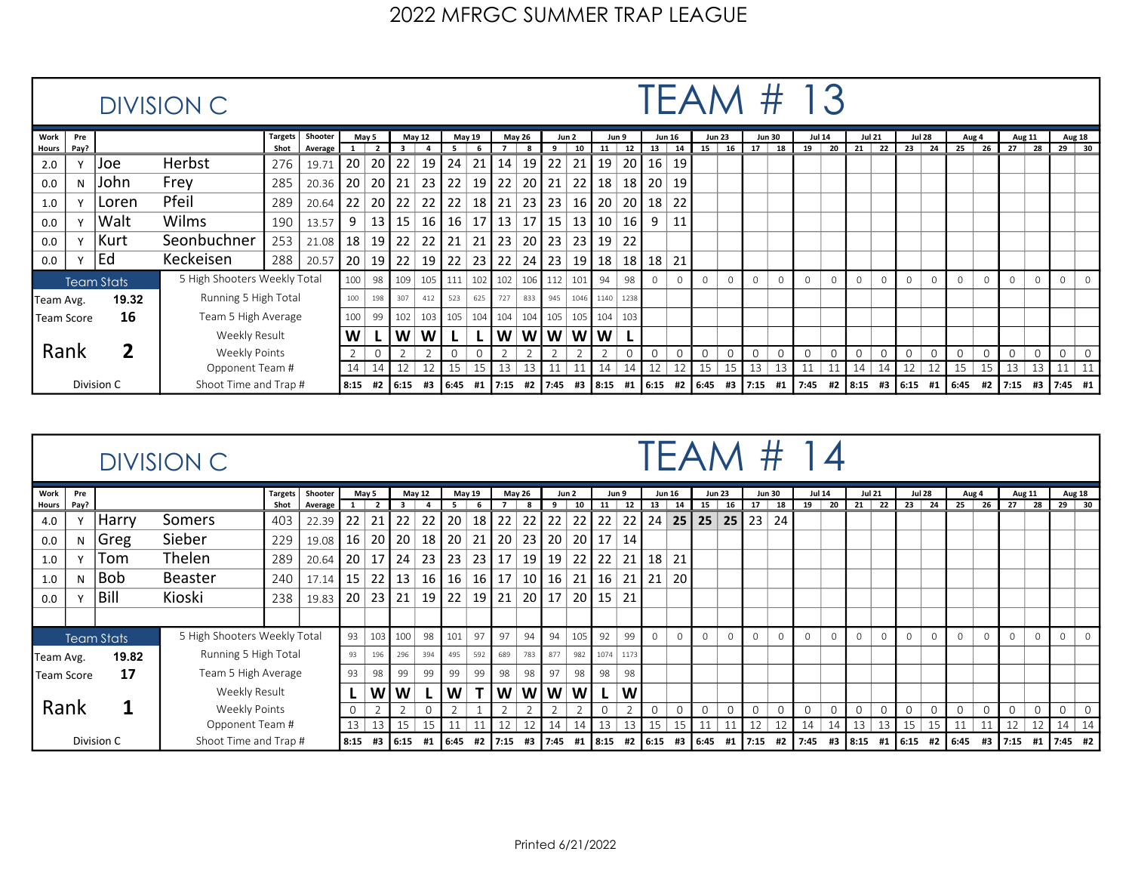|                  |              |                   | <b>DIVISION C</b>            |                      |         |      |                 |                 |        |           |                 |                |                 |              |      |                 |                 |                |               |               |             | TEAM # 13                                                          |          |               |                 |               |          |                                                 |               |          |             |                |               |              |               |
|------------------|--------------|-------------------|------------------------------|----------------------|---------|------|-----------------|-----------------|--------|-----------|-----------------|----------------|-----------------|--------------|------|-----------------|-----------------|----------------|---------------|---------------|-------------|--------------------------------------------------------------------|----------|---------------|-----------------|---------------|----------|-------------------------------------------------|---------------|----------|-------------|----------------|---------------|--------------|---------------|
| <b>Work</b>      | Pre          |                   |                              | <b>Targets</b>       | Shooter |      | May 5           |                 | May 12 |           | <b>May 19</b>   | May 26         |                 | Jun 2        |      | Jun 9           |                 |                | <b>Jun 16</b> | <b>Jun 23</b> |             | <b>Jun 30</b>                                                      |          | <b>Jul 14</b> |                 | <b>Jul 21</b> |          |                                                 | <b>Jul 28</b> |          | Aug 4       |                | <b>Aug 11</b> |              | <b>Aug 18</b> |
| Hours Pay?       |              |                   |                              | Shot                 | Average |      |                 |                 |        |           |                 |                |                 | 9            | 10   | 11              | 12 <sup>1</sup> | 13             | 14            | 15            | 16          | 17                                                                 | 18       | 19            | 20 <sub>1</sub> | 21            | 22       | 23                                              | 24            | 25       | 26          | $\frac{1}{27}$ | 28            | $29 \mid 30$ |               |
| 2.0              |              | Joe               | Herbst                       | 276                  | 19.71   | 20   | 20 <sub>1</sub> | 22              | 19     | 24        | 21              | 14             | 19              | 22           | 21   | 19              | 20 I            | 16             | 19            |               |             |                                                                    |          |               |                 |               |          |                                                 |               |          |             |                |               |              |               |
| 0.0              | N            | John              | Frey                         | 285                  | 20.36   | 20   | 20 <sub>1</sub> | 21              | 23     | 22        | 19              | 22             | 20              | 21           | 22   | 18              | <b>18</b>       | 20             | 19            |               |             |                                                                    |          |               |                 |               |          |                                                 |               |          |             |                |               |              |               |
| 1.0              | v            | Loren             | Pfeil                        | 289                  | 20.64   | 22   | <b>20</b> l     | 22              | 22     | 22        | 18 I            | 21             | 23              | 23           | 16   | 20              | - 20 I          | 18             | 22            |               |             |                                                                    |          |               |                 |               |          |                                                 |               |          |             |                |               |              |               |
| 0.0              | Y            | Walt              | Wilms                        | 190                  | 13.57   | 9    | 13 <sup>1</sup> | 15 <sup>1</sup> | 16     | $16 \mid$ | 17 <sup>1</sup> | 13             | 17 <sup>1</sup> | 15           | 13   | 10 <sub>1</sub> | 16 <sup>1</sup> | 9              | 11            |               |             |                                                                    |          |               |                 |               |          |                                                 |               |          |             |                |               |              |               |
| 0.0              | $\checkmark$ | Kurt              | Seonbuchner                  | 253                  | 21.08   | 18   | 19 <sup>1</sup> | 22              | 22     | 21        | 21              | 23             | 20 <sup>1</sup> | 23           | 23   | 19              | 22              |                |               |               |             |                                                                    |          |               |                 |               |          |                                                 |               |          |             |                |               |              |               |
| 0.0              | Y            | Ed                | Keckeisen                    | 288                  | 20.57   | 20   | 19 I            | 22              | 19     | 22        | 23              |                |                 | 22   24   23 | 19 I | 18              |                 | 18   18        | 21            |               |             |                                                                    |          |               |                 |               |          |                                                 |               |          |             |                |               |              |               |
|                  |              | <b>Team Stats</b> | 5 High Shooters Weekly Total | 100                  | 98      | 109  | 105             | 111             | 102    | 102       |                 | $106$ 112      | 101             | 94           | 98   | $\Omega$        | $\Omega$        | $\Omega$       | $\Omega$      | $\Omega$      | $\Omega$    | $\Omega$                                                           | $\Omega$ | $\Omega$      | $\Omega$        | $\Omega$      | $\Omega$ | $\Omega$                                        | $\Omega$      | $\Omega$ | $\Omega$    | $\Omega$       | $\Omega$      |              |               |
| Team Avg.        |              | 19.32             |                              | Running 5 High Total |         |      |                 | 307             | 412    | 523       | 625             | 727            | 833             | 945          | 1046 | 1140            | 1238            |                |               |               |             |                                                                    |          |               |                 |               |          |                                                 |               |          |             |                |               |              |               |
| 16<br>Team Score |              |                   | Team 5 High Average          |                      |         | 100  | 99              | 102             | 103    | 105       |                 | $104$ 104      |                 | $104$ 105    |      | $105$ 104   103 |                 |                |               |               |             |                                                                    |          |               |                 |               |          |                                                 |               |          |             |                |               |              |               |
|                  |              |                   | Weekly Result                |                      |         | W    |                 | $\mathsf{W}$    | W      |           |                 | W <sub>1</sub> | W               | W            |      | W   W           |                 |                |               |               |             |                                                                    |          |               |                 |               |          |                                                 |               |          |             |                |               |              |               |
| Rank<br>2        |              |                   |                              | Weekly Points        |         |      |                 |                 |        |           |                 |                |                 |              |      |                 |                 | $\overline{0}$ | 0             | 0             | $\mathbf 0$ | $\mathbf 0$                                                        |          | $\mathbf{0}$  | 0               | 0             | 0        | $\mathbf 0$                                     | 0             |          | $\mathbf 0$ | $\mathbf{O}$   | $\mathbf{0}$  | $\mathbf 0$  |               |
|                  |              |                   | Opponent Team #              |                      |         | 14   | 14              | 12              | 12     | 15        | 15              | 13             | 13              |              |      | 14              | 14              | 12             | 12            | 15            | 15          | 13                                                                 | 13       | 11            |                 | 14            | 14       | 12                                              |               | 15       | 15          | 13             | 13            | 11           |               |
|                  |              | Division C        | Shoot Time and Trap #        |                      |         | 8:15 |                 |                 |        |           |                 |                |                 |              |      |                 |                 |                |               |               |             | #2 6:15 #3 6:45 #1 7:15 #2 7:45 #3 8:15 #1 6:15 #2 6:45 #3 7:15 #1 |          |               |                 |               |          | 7:45 #2   8:15 #3   6:15 #1   6:45 #2   7:15 #3 |               |          |             |                |               | $7:45$ #1    |               |

|                  |            |                     | <b>DIVISION C</b>     |                              |         |             |         |         |                 |        |                 |                 |               |        |                 |           |      |                |                |               |                |             |                | TEAM # 14     |                 |                   |                |                |                 |         |          |               |          |               |                |
|------------------|------------|---------------------|-----------------------|------------------------------|---------|-------------|---------|---------|-----------------|--------|-----------------|-----------------|---------------|--------|-----------------|-----------|------|----------------|----------------|---------------|----------------|-------------|----------------|---------------|-----------------|-------------------|----------------|----------------|-----------------|---------|----------|---------------|----------|---------------|----------------|
| Work             | Pre        |                     |                       | <b>Targets</b>               | Shooter |             | May 5   | May 12  |                 |        | May 19          |                 | <b>May 26</b> | Jun 2  |                 | Jun 9     |      |                | <b>Jun 16</b>  | <b>Jun 23</b> |                |             | <b>Jun 30</b>  | <b>Jul 14</b> |                 | <b>Jul 21</b>     |                | <b>Jul 28</b>  |                 | Aug 4   |          | <b>Aug 11</b> |          | <b>Aug 18</b> |                |
| <b>Hours</b>     | Pay?       |                     |                       | Shot                         | Average |             |         | -3      |                 | - 5    |                 |                 |               |        | 10              | 11        | 12   | 13             | 14             | 15            | 16             | 17          | 18             | 19            | 20 <sub>1</sub> | 21                | 22             | 23             | 24              | 25      | 26       | 27            | 28       | $29 \mid 30$  |                |
| 4.0              |            | <b>Harry</b>        | Somers                | 403                          | 22.39   | 22          | 21      | 22      | 22              | 20     | 18              | 22              | 22            | 22     | 22              | 22        | 22   | 24             | 25             | 25            | 25             | 23          | 24             |               |                 |                   |                |                |                 |         |          |               |          |               |                |
| 0.0              | N          | Greg                | Sieber                | 229                          | 19.08   | 16          | 20 I    | 20      | <b>18</b>       | 20     | 21              | 20              | 23            | 20     | 20 <sub>l</sub> | 17        | 14   |                |                |               |                |             |                |               |                 |                   |                |                |                 |         |          |               |          |               |                |
| 1.0              |            | Tom                 | Thelen                | 289                          | 20.64   | 20          | 17   24 |         | 23              | 23     | 23 I            | 17 <sup>1</sup> | 19            | 19     | 22              | 22        | 21 I | 18             | 21             |               |                |             |                |               |                 |                   |                |                |                 |         |          |               |          |               |                |
| 1.0              | N          | Bob                 | <b>Beaster</b>        | 240                          | 17.14   | l 15        |         | 22   13 | 16 I            | 16     | 16 <sup>1</sup> | 17 <sup>1</sup> | 10 l          | 16     | 21              | $16 \mid$ | 21 I | 21             | 20             |               |                |             |                |               |                 |                   |                |                |                 |         |          |               |          |               |                |
| 0.0              |            | Bill                | Kioski                | 238                          | 19.83   | 20          | 23   21 |         | 19 <sup>1</sup> | 22     |                 | $19$   21       | 20 l          | 17     | 20 l            | 15        | 21   |                |                |               |                |             |                |               |                 |                   |                |                |                 |         |          |               |          |               |                |
|                  |            |                     |                       |                              |         |             |         |         |                 |        |                 |                 |               |        |                 |           |      |                |                |               |                |             |                |               |                 |                   |                |                |                 |         |          |               |          |               |                |
|                  |            | <b>Team Stats</b>   |                       | 5 High Shooters Weekly Total |         |             |         |         | $103$ 100<br>98 | 101    | 97              | 97              | 94            | 94     | 105             | 92        | 99   | $\circ$        | $\overline{0}$ | $\circ$       | $\overline{0}$ | $\circ$     | $\overline{0}$ | $\circ$       | $\circ$         | $\overline{0}$    | $\overline{0}$ | $\overline{0}$ | $\circ$         | $\circ$ | $\circ$  | $\circ$       | $\Omega$ | $\circ$       | $\overline{0}$ |
| Team Avg.        |            | 19.82               |                       | Running 5 High Total         |         |             | 196     | 296     | 394             | 495    | 592             | 689             | 783           | 877    | 982             | 1074 1173 |      |                |                |               |                |             |                |               |                 |                   |                |                |                 |         |          |               |          |               |                |
| 17<br>Team Score |            | Team 5 High Average |                       |                              | 93      | 98          | 99      | 99      | 99              | 99     | 98              | 98              | 97            | 98     | 98              | 98        |      |                |                |               |                |             |                |               |                 |                   |                |                |                 |         |          |               |          |               |                |
|                  |            | Weekly Result       |                       |                              |         | W           | W       |         | W               |        | W               | W l             | W             | W      | L.              | W         |      |                |                |               |                |             |                |               |                 |                   |                |                |                 |         |          |               |          |               |                |
| Rank             |            | 1                   | Weekly Points         |                              |         | $\mathbf 0$ |         |         |                 |        |                 |                 |               |        |                 |           |      | $\mathbf 0$    | $\mathbf{0}$   | $\Omega$      |                | $\mathbf 0$ | $\mathbf 0$    | 0             |                 |                   |                | $\mathbf 0$    |                 |         | $\Omega$ | $\Omega$      |          | 0             | $\Omega$       |
|                  |            |                     | Opponent Team #       |                              |         | 13          | 13      | 15      | 15              |        | 11              | 12              | 12            | 14     | 14              | 13        | 13   | 15             | 15             | 11            |                | 12          |                | 14            | 14              | 13                | 13             | 15             | 15 <sup>1</sup> |         | 11       | 12            |          | $14 \mid 14$  |                |
|                  | Division C |                     | Shoot Time and Trap # |                              |         | 8:15        |         | #3 6:15 | #1              | l 6:45 |                 | #2 17:15        | #3            | l 7:45 | #1              |           |      | $8:15$ #2 6:15 |                | #3 6:45 #1    |                | $7:15$ #2   |                |               |                 | $7:45$ #3 8:15 #1 |                | $6:15$ #2 6:45 |                 |         | #3       | $17:15$ #1    |          | $7:45$ #2     |                |